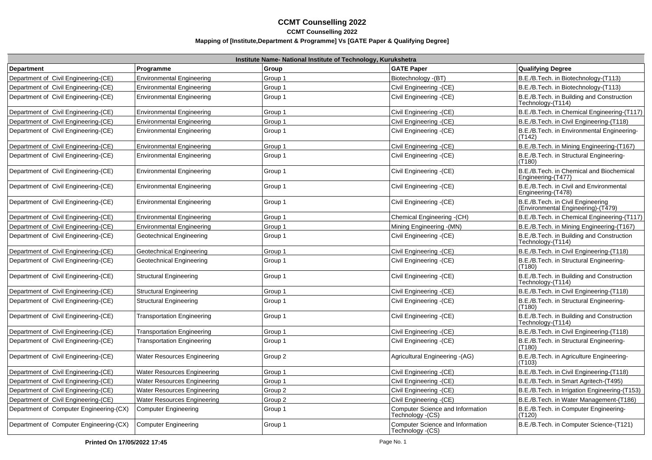|                                         |                                    | Institute Name- National Institute of Technology, Kurukshetra |                                                       |                                                                         |
|-----------------------------------------|------------------------------------|---------------------------------------------------------------|-------------------------------------------------------|-------------------------------------------------------------------------|
| Department                              | Programme                          | Group                                                         | <b>GATE Paper</b>                                     | <b>Qualifying Degree</b>                                                |
| Department of Civil Engineering-(CE)    | <b>Environmental Engineering</b>   | Group 1                                                       | Biotechnology - (BT)                                  | B.E./B.Tech. in Biotechnology-(T113)                                    |
| Department of Civil Engineering-(CE)    | <b>Environmental Engineering</b>   | Group 1                                                       | Civil Engineering -(CE)                               | B.E./B.Tech. in Biotechnology-(T113)                                    |
| Department of Civil Engineering-(CE)    | <b>Environmental Engineering</b>   | Group 1                                                       | Civil Engineering - (CE)                              | B.E./B.Tech. in Building and Construction<br>Technology-(T114)          |
| Department of Civil Engineering-(CE)    | <b>Environmental Engineering</b>   | Group 1                                                       | Civil Engineering - (CE)                              | B.E./B.Tech. in Chemical Engineering-(T117)                             |
| Department of Civil Engineering-(CE)    | <b>Environmental Engineering</b>   | Group 1                                                       | Civil Engineering - (CE)                              | B.E./B.Tech. in Civil Engineering-(T118)                                |
| Department of Civil Engineering-(CE)    | Environmental Engineering          | Group 1                                                       | Civil Engineering - (CE)                              | B.E./B.Tech. in Environmental Engineering-<br>(T142)                    |
| Department of Civil Engineering-(CE)    | <b>Environmental Engineering</b>   | Group 1                                                       | Civil Engineering -(CE)                               | B.E./B.Tech. in Mining Engineering-(T167)                               |
| Department of Civil Engineering-(CE)    | <b>Environmental Engineering</b>   | Group 1                                                       | Civil Engineering - (CE)                              | B.E./B.Tech. in Structural Engineering-<br>(T180)                       |
| Department of Civil Engineering-(CE)    | <b>Environmental Engineering</b>   | Group 1                                                       | Civil Engineering - (CE)                              | B.E./B.Tech. in Chemical and Biochemical<br>Engineering-(T477)          |
| Department of Civil Engineering-(CE)    | <b>Environmental Engineering</b>   | Group 1                                                       | Civil Engineering - (CE)                              | B.E./B.Tech. in Civil and Environmental<br>Engineering-(T478)           |
| Department of Civil Engineering-(CE)    | <b>Environmental Engineering</b>   | Group 1                                                       | Civil Engineering - (CE)                              | B.E./B.Tech. in Civil Engineering<br>(Environmental Engineering)-(T479) |
| Department of Civil Engineering-(CE)    | <b>Environmental Engineering</b>   | Group 1                                                       | Chemical Engineering -(CH)                            | B.E./B.Tech. in Chemical Engineering-(T117)                             |
| Department of Civil Engineering-(CE)    | <b>Environmental Engineering</b>   | Group 1                                                       | Mining Engineering - (MN)                             | B.E./B.Tech. in Mining Engineering-(T167)                               |
| Department of Civil Engineering-(CE)    | Geotechnical Engineering           | Group 1                                                       | Civil Engineering - (CE)                              | B.E./B.Tech. in Building and Construction<br>Technology-(T114)          |
| Department of Civil Engineering-(CE)    | Geotechnical Engineering           | Group 1                                                       | Civil Engineering - (CE)                              | B.E./B.Tech. in Civil Engineering-(T118)                                |
| Department of Civil Engineering-(CE)    | Geotechnical Engineering           | Group 1                                                       | Civil Engineering - (CE)                              | B.E./B.Tech. in Structural Engineering-<br>(T180)                       |
| Department of Civil Engineering-(CE)    | <b>Structural Engineering</b>      | Group 1                                                       | Civil Engineering - (CE)                              | B.E./B.Tech. in Building and Construction<br>Technology-(T114)          |
| Department of Civil Engineering-(CE)    | <b>Structural Engineering</b>      | Group 1                                                       | Civil Engineering - (CE)                              | B.E./B.Tech. in Civil Engineering-(T118)                                |
| Department of Civil Engineering-(CE)    | <b>Structural Engineering</b>      | Group 1                                                       | Civil Engineering - (CE)                              | B.E./B.Tech. in Structural Engineering-<br>(T180)                       |
| Department of Civil Engineering-(CE)    | <b>Transportation Engineering</b>  | Group 1                                                       | Civil Engineering -(CE)                               | B.E./B.Tech. in Building and Construction<br>Technology-(T114)          |
| Department of Civil Engineering-(CE)    | <b>Transportation Engineering</b>  | Group 1                                                       | Civil Engineering - (CE)                              | B.E./B.Tech. in Civil Engineering-(T118)                                |
| Department of Civil Engineering-(CE)    | <b>Transportation Engineering</b>  | Group 1                                                       | Civil Engineering - (CE)                              | B.E./B.Tech. in Structural Engineering-<br>(T180)                       |
| Department of Civil Engineering-(CE)    | <b>Water Resources Engineering</b> | Group 2                                                       | Agricultural Engineering - (AG)                       | B.E./B.Tech. in Agriculture Engineering-<br>(T103)                      |
| Department of Civil Engineering-(CE)    | <b>Water Resources Engineering</b> | Group 1                                                       | Civil Engineering -(CE)                               | B.E./B.Tech. in Civil Engineering-(T118)                                |
| Department of Civil Engineering-(CE)    | <b>Water Resources Engineering</b> | Group 1                                                       | Civil Engineering - (CE)                              | B.E./B.Tech. in Smart Agritech-(T495)                                   |
| Department of Civil Engineering-(CE)    | Water Resources Engineering        | Group 2                                                       | Civil Engineering -(CE)                               | B.E./B.Tech. in Irrigation Engineering-(T153)                           |
| Department of Civil Engineering-(CE)    | Water Resources Engineering        | Group 2                                                       | Civil Engineering -(CE)                               | B.E./B.Tech. in Water Management-(T186)                                 |
| Department of Computer Engineering-(CX) | <b>Computer Engineering</b>        | Group 1                                                       | Computer Science and Information<br>Technology - (CS) | B.E./B.Tech. in Computer Engineering-<br>(T120)                         |
| Department of Computer Engineering-(CX) | <b>Computer Engineering</b>        | Group 1                                                       | Computer Science and Information<br>Technology - (CS) | B.E./B.Tech. in Computer Science-(T121)                                 |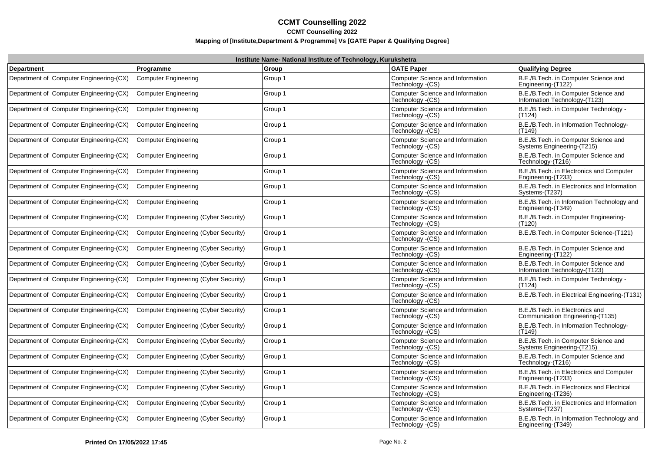|                                         |                                              | Institute Name- National Institute of Technology, Kurukshetra |                                                              |                                                                       |
|-----------------------------------------|----------------------------------------------|---------------------------------------------------------------|--------------------------------------------------------------|-----------------------------------------------------------------------|
| <b>Department</b>                       | Programme                                    | Group                                                         | <b>GATE Paper</b>                                            | <b>Qualifying Degree</b>                                              |
| Department of Computer Engineering-(CX) | <b>Computer Engineering</b>                  | Group 1                                                       | Computer Science and Information<br>Technology - (CS)        | B.E./B.Tech. in Computer Science and<br>Engineering-(T122)            |
| Department of Computer Engineering-(CX) | <b>Computer Engineering</b>                  | Group 1                                                       | Computer Science and Information<br>Technology - (CS)        | B.E./B.Tech. in Computer Science and<br>Information Technology-(T123) |
| Department of Computer Engineering-(CX) | <b>Computer Engineering</b>                  | Group 1                                                       | Computer Science and Information<br>Technology (CS)          | B.E./B.Tech. in Computer Technology -<br>(T124)                       |
| Department of Computer Engineering-(CX) | <b>Computer Engineering</b>                  | Group 1                                                       | Computer Science and Information<br>Technology - (CS)        | B.E./B.Tech. in Information Technology-<br>(T149)                     |
| Department of Computer Engineering-(CX) | <b>Computer Engineering</b>                  | Group 1                                                       | Computer Science and Information<br>Technology - (CS)        | B.E./B.Tech. in Computer Science and<br>Systems Engineering-(T215)    |
| Department of Computer Engineering-(CX) | <b>Computer Engineering</b>                  | Group 1                                                       | <b>Computer Science and Information</b><br>Technology - (CS) | B.E./B.Tech. in Computer Science and<br>Technology-(T216)             |
| Department of Computer Engineering-(CX) | <b>Computer Engineering</b>                  | Group 1                                                       | <b>Computer Science and Information</b><br>Technology - (CS) | B.E./B.Tech. in Electronics and Computer<br>Engineering-(T233)        |
| Department of Computer Engineering-(CX) | <b>Computer Engineering</b>                  | Group 1                                                       | <b>Computer Science and Information</b><br>Technology - (CS) | B.E./B.Tech. in Electronics and Information<br>Systems-(T237)         |
| Department of Computer Engineering-(CX) | <b>Computer Engineering</b>                  | Group 1                                                       | Computer Science and Information<br>Technology - (CS)        | B.E./B.Tech. in Information Technology and<br>Engineering-(T349)      |
| Department of Computer Engineering-(CX) | Computer Engineering (Cyber Security)        | Group 1                                                       | Computer Science and Information<br>Technology - (CS)        | B.E./B.Tech. in Computer Engineering-<br>(T120)                       |
| Department of Computer Engineering-(CX) | Computer Engineering (Cyber Security)        | Group 1                                                       | Computer Science and Information<br>Technology - (CS)        | B.E./B.Tech. in Computer Science-(T121)                               |
| Department of Computer Engineering-(CX) | Computer Engineering (Cyber Security)        | Group 1                                                       | Computer Science and Information<br>Technology - (CS)        | B.E./B.Tech. in Computer Science and<br>Engineering-(T122)            |
| Department of Computer Engineering-(CX) | Computer Engineering (Cyber Security)        | Group 1                                                       | Computer Science and Information<br>Technology - (CS)        | B.E./B.Tech. in Computer Science and<br>Information Technology-(T123) |
| Department of Computer Engineering-(CX) | Computer Engineering (Cyber Security)        | Group 1                                                       | Computer Science and Information<br>Technology - (CS)        | B.E./B.Tech. in Computer Technology -<br>(T124)                       |
| Department of Computer Engineering-(CX) | <b>Computer Engineering (Cyber Security)</b> | Group 1                                                       | Computer Science and Information<br>Technology - (CS)        | B.E./B.Tech. in Electrical Engineering-(T131)                         |
| Department of Computer Engineering-(CX) | <b>Computer Engineering (Cyber Security)</b> | Group 1                                                       | Computer Science and Information<br>Technology - (CS)        | B.E./B.Tech. in Electronics and<br>Communication Engineering-(T135)   |
| Department of Computer Engineering-(CX) | <b>Computer Engineering (Cyber Security)</b> | Group 1                                                       | Computer Science and Information<br>Technology - (CS)        | B.E./B.Tech. in Information Technology-<br>(T149)                     |
| Department of Computer Engineering-(CX) | <b>Computer Engineering (Cyber Security)</b> | Group 1                                                       | Computer Science and Information<br>Technology - (CS)        | B.E./B.Tech. in Computer Science and<br>Systems Engineering-(T215)    |
| Department of Computer Engineering-(CX) | <b>Computer Engineering (Cyber Security)</b> | Group 1                                                       | Computer Science and Information<br>Technology - (CS)        | B.E./B.Tech. in Computer Science and<br>Technology-(T216)             |
| Department of Computer Engineering-(CX) | <b>Computer Engineering (Cyber Security)</b> | Group 1                                                       | <b>Computer Science and Information</b><br>Technology (CS)   | B.E./B.Tech. in Electronics and Computer<br>Engineering-(T233)        |
| Department of Computer Engineering-(CX) | Computer Engineering (Cyber Security)        | Group 1                                                       | Computer Science and Information<br>Technology - (CS)        | B.E./B.Tech. in Electronics and Electrical<br>Engineering-(T236)      |
| Department of Computer Engineering-(CX) | Computer Engineering (Cyber Security)        | Group 1                                                       | <b>Computer Science and Information</b><br>Technology - (CS) | B.E./B.Tech. in Electronics and Information<br>Systems-(T237)         |
| Department of Computer Engineering-(CX) | Computer Engineering (Cyber Security)        | Group 1                                                       | Computer Science and Information<br>Technology - (CS)        | B.E./B.Tech. in Information Technology and<br>Engineering-(T349)      |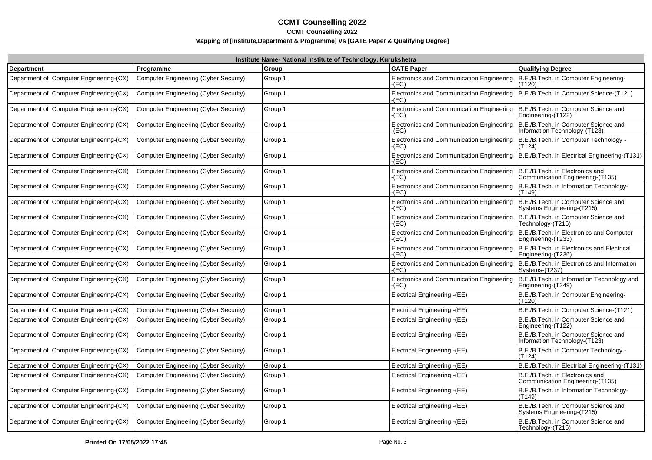|                                         | Institute Name- National Institute of Technology, Kurukshetra |         |                                                                                                |                                                                       |  |
|-----------------------------------------|---------------------------------------------------------------|---------|------------------------------------------------------------------------------------------------|-----------------------------------------------------------------------|--|
| <b>Department</b>                       | Programme                                                     | Group   | <b>GATE Paper</b>                                                                              | <b>Qualifying Degree</b>                                              |  |
| Department of Computer Engineering-(CX) | Computer Engineering (Cyber Security)                         | Group 1 | Electronics and Communication Engineering<br>-(EC)                                             | B.E./B.Tech. in Computer Engineering-<br>(T120)                       |  |
| Department of Computer Engineering-(CX) | Computer Engineering (Cyber Security)                         | Group 1 | Electronics and Communication Engineering   B.E./B.Tech. in Computer Science-(T121)<br>$-(EC)$ |                                                                       |  |
| Department of Computer Engineering-(CX) | Computer Engineering (Cyber Security)                         | Group 1 | Electronics and Communication Engineering<br>-(EC)                                             | B.E./B.Tech. in Computer Science and<br>Engineering-(T122)            |  |
| Department of Computer Engineering-(CX) | Computer Engineering (Cyber Security)                         | Group 1 | Electronics and Communication Engineering<br>$-(EC)$                                           | B.E./B.Tech. in Computer Science and<br>Information Technology-(T123) |  |
| Department of Computer Engineering-(CX) | Computer Engineering (Cyber Security)                         | Group 1 | Electronics and Communication Engineering<br>-(EC)                                             | B.E./B.Tech. in Computer Technology -<br>(T124)                       |  |
| Department of Computer Engineering-(CX) | Computer Engineering (Cyber Security)                         | Group 1 | Electronics and Communication Engineering<br>-(EC)                                             | B.E./B.Tech. in Electrical Engineering-(T131)                         |  |
| Department of Computer Engineering-(CX) | Computer Engineering (Cyber Security)                         | Group 1 | Electronics and Communication Engineering   B.E./B.Tech. in Electronics and<br>$-(EC)$         | Communication Engineering-(T135)                                      |  |
| Department of Computer Engineering-(CX) | Computer Engineering (Cyber Security)                         | Group 1 | Electronics and Communication Engineering<br>-(EC)                                             | B.E./B.Tech. in Information Technology-<br>(T149)                     |  |
| Department of Computer Engineering-(CX) | Computer Engineering (Cyber Security)                         | Group 1 | Electronics and Communication Engineering<br>-(EC)                                             | B.E./B.Tech. in Computer Science and<br>Systems Engineering-(T215)    |  |
| Department of Computer Engineering-(CX) | Computer Engineering (Cyber Security)                         | Group 1 | <b>Electronics and Communication Engineering</b><br>$-(EC)$                                    | B.E./B.Tech. in Computer Science and<br>Technology-(T216)             |  |
| Department of Computer Engineering-(CX) | Computer Engineering (Cyber Security)                         | Group 1 | Electronics and Communication Engineering<br>$-(EC)$                                           | B.E./B.Tech. in Electronics and Computer<br>Engineering-(T233)        |  |
| Department of Computer Engineering-(CX) | Computer Engineering (Cyber Security)                         | Group 1 | Electronics and Communication Engineering<br>-(EC)                                             | B.E./B.Tech. in Electronics and Electrical<br>Engineering-(T236)      |  |
| Department of Computer Engineering-(CX) | Computer Engineering (Cyber Security)                         | Group 1 | Electronics and Communication Engineering<br>-(EC)                                             | B.E./B.Tech. in Electronics and Information<br>Systems-(T237)         |  |
| Department of Computer Engineering-(CX) | Computer Engineering (Cyber Security)                         | Group 1 | Electronics and Communication Engineering<br>-(EC)                                             | B.E./B.Tech. in Information Technology and<br>Engineering-(T349)      |  |
| Department of Computer Engineering-(CX) | Computer Engineering (Cyber Security)                         | Group 1 | Electrical Engineering -(EE)                                                                   | B.E./B.Tech. in Computer Engineering-<br>(T120)                       |  |
| Department of Computer Engineering-(CX) | Computer Engineering (Cyber Security)                         | Group 1 | Electrical Engineering - (EE)                                                                  | B.E./B.Tech. in Computer Science-(T121)                               |  |
| Department of Computer Engineering-(CX) | Computer Engineering (Cyber Security)                         | Group 1 | Electrical Engineering -(EE)                                                                   | B.E./B.Tech. in Computer Science and<br>Engineering-(T122)            |  |
| Department of Computer Engineering-(CX) | Computer Engineering (Cyber Security)                         | Group 1 | Electrical Engineering -(EE)                                                                   | B.E./B.Tech. in Computer Science and<br>Information Technology-(T123) |  |
| Department of Computer Engineering-(CX) | Computer Engineering (Cyber Security)                         | Group 1 | Electrical Engineering -(EE)                                                                   | B.E./B.Tech. in Computer Technology -<br>(T124)                       |  |
| Department of Computer Engineering-(CX) | Computer Engineering (Cyber Security)                         | Group 1 | Electrical Engineering - (EE)                                                                  | B.E./B.Tech. in Electrical Engineering-(T131)                         |  |
| Department of Computer Engineering-(CX) | Computer Engineering (Cyber Security)                         | Group 1 | Electrical Engineering -(EE)                                                                   | B.E./B.Tech. in Electronics and<br>Communication Engineering-(T135)   |  |
| Department of Computer Engineering-(CX) | Computer Engineering (Cyber Security)                         | Group 1 | Electrical Engineering - (EE)                                                                  | B.E./B.Tech. in Information Technology-<br>(T149)                     |  |
| Department of Computer Engineering-(CX) | Computer Engineering (Cyber Security)                         | Group 1 | Electrical Engineering - (EE)                                                                  | B.E./B.Tech. in Computer Science and<br>Systems Engineering-(T215)    |  |
| Department of Computer Engineering-(CX) | Computer Engineering (Cyber Security)                         | Group 1 | Electrical Engineering -(EE)                                                                   | B.E./B.Tech. in Computer Science and<br>Technology-(T216)             |  |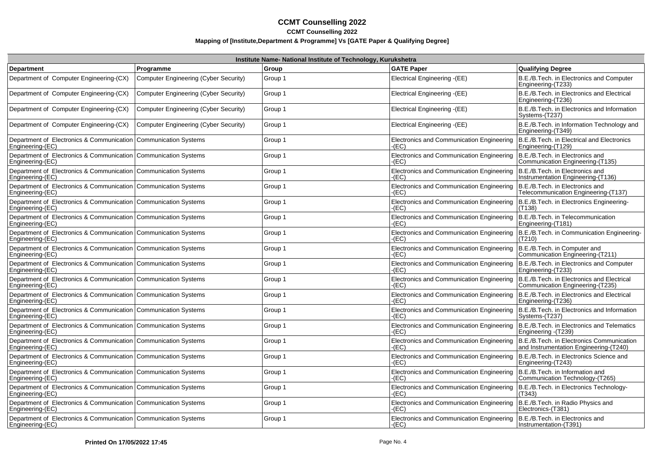| Institute Name- National Institute of Technology, Kurukshetra                         |                                       |         |                                                                                      |                                                                                     |
|---------------------------------------------------------------------------------------|---------------------------------------|---------|--------------------------------------------------------------------------------------|-------------------------------------------------------------------------------------|
| <b>Department</b>                                                                     | Programme                             | Group   | <b>GATE Paper</b>                                                                    | <b>Qualifying Degree</b>                                                            |
| Department of Computer Engineering-(CX)                                               | Computer Engineering (Cyber Security) | Group 1 | Electrical Engineering -(EE)                                                         | B.E./B.Tech. in Electronics and Computer<br>Engineering-(T233)                      |
| Department of Computer Engineering-(CX)                                               | Computer Engineering (Cyber Security) | Group 1 | Electrical Engineering - (EE)                                                        | B.E./B.Tech. in Electronics and Electrical<br>Engineering-(T236)                    |
| Department of Computer Engineering-(CX)                                               | Computer Engineering (Cyber Security) | Group 1 | Electrical Engineering - (EE)                                                        | B.E./B.Tech. in Electronics and Information<br>Systems-(T237)                       |
| Department of Computer Engineering-(CX)                                               | Computer Engineering (Cyber Security) | Group 1 | Electrical Engineering -(EE)                                                         | B.E./B.Tech. in Information Technology and<br>Engineering-(T349)                    |
| Department of Electronics & Communication   Communication Systems<br>Engineering-(EC) |                                       | Group 1 | Electronics and Communication Engineering<br>-(EC)                                   | B.E./B.Tech. in Electrical and Electronics<br>Engineering-(T129)                    |
| Department of Electronics & Communication   Communication Systems<br>Engineering-(EC) |                                       | Group 1 | Electronics and Communication Engineering<br>(EC)                                    | B.E./B.Tech. in Electronics and<br>Communication Engineering (T135)                 |
| Department of Electronics & Communication Communication Systems<br>Engineering-(EC)   |                                       | Group 1 | Electronics and Communication Engineering<br>(EC)                                    | B.E./B.Tech. in Electronics and<br>Instrumentation Engineering-(T136)               |
| Department of Electronics & Communication Communication Systems<br>Engineering-(EC)   |                                       | Group 1 | Electronics and Communication Engineering<br>(EC)                                    | B.E./B.Tech. in Electronics and<br>Telecommunication Engineering-(T137)             |
| Department of Electronics & Communication   Communication Systems<br>Engineering-(EC) |                                       | Group 1 | Electronics and Communication Engineering<br>(EC)                                    | B.E./B.Tech. in Electronics Engineering-<br>(T138)                                  |
| Department of Electronics & Communication Communication Systems<br>Engineering-(EC)   |                                       | Group 1 | Electronics and Communication Engineering<br>-(EC)                                   | B.E./B.Tech. in Telecommunication<br>Engineering-(T181)                             |
| Department of Electronics & Communication Communication Systems<br>Engineering-(EC)   |                                       | Group 1 | Electronics and Communication Engineering<br>-(EC)                                   | B.E./B.Tech. in Communication Engineering-<br>(T210)                                |
| Department of Electronics & Communication   Communication Systems<br>Engineering-(EC) |                                       | Group 1 | Electronics and Communication Engineering<br>(EC)                                    | B.E./B.Tech. in Computer and<br>Communication Engineering-(T211)                    |
| Department of Electronics & Communication Communication Systems<br>Engineering-(EC)   |                                       | Group 1 | Electronics and Communication Engineering<br>(EC)                                    | B.E./B.Tech. in Electronics and Computer<br>Engineering-(T233)                      |
| Department of Electronics & Communication Communication Systems<br>Engineering-(EC)   |                                       | Group 1 | Electronics and Communication Engineering<br>(EC)                                    | B.E./B.Tech. in Electronics and Electrical<br>Communication Engineering-(T235)      |
| Department of Electronics & Communication   Communication Systems<br>Engineering-(EC) |                                       | Group 1 | Electronics and Communication Engineering<br>(EC)                                    | B.E./B.Tech. in Electronics and Electrical<br>Engineering-(T236)                    |
| Department of Electronics & Communication Communication Systems<br>Engineering-(EC)   |                                       | Group 1 | Electronics and Communication Engineering<br>-(EC)                                   | B.E./B.Tech. in Electronics and Information<br>Systems-(T237)                       |
| Department of Electronics & Communication Communication Systems<br>Engineering-(EC)   |                                       | Group 1 | Electronics and Communication Engineering<br>(EC)                                    | B.E./B.Tech. in Electronics and Telematics<br>Engineering - (T239)                  |
| Department of Electronics & Communication   Communication Systems<br>Engineering-(EC) |                                       | Group 1 | Electronics and Communication Engineering<br>(EC)                                    | B.E./B.Tech. in Electronics Communication<br>and Instrumentation Engineering-(T240) |
| Department of Electronics & Communication Communication Systems<br>Engineering-(EC)   |                                       | Group 1 | Electronics and Communication Engineering<br>E(C)                                    | B.E./B.Tech. in Electronics Science and<br>Engineering-(T243)                       |
| Department of Electronics & Communication Communication Systems<br>Engineering-(EC)   |                                       | Group 1 | Electronics and Communication Engineering<br>-(EC)                                   | B.E./B.Tech. in Information and<br>Communication Technology-(T265)                  |
| Department of Electronics & Communication   Communication Systems<br>Engineering-(EC) |                                       | Group 1 | Electronics and Communication Engineering<br>$E$ C)                                  | B.E./B.Tech. in Electronics Technology-<br>(T343)                                   |
| Department of Electronics & Communication   Communication Systems<br>Engineering-(EC) |                                       | Group 1 | Electronics and Communication Engineering<br>-(EC)                                   | B.E./B.Tech. in Radio Physics and<br>Electronics-(T381)                             |
| Department of Electronics & Communication   Communication Systems<br>Engineering-(EC) |                                       | Group 1 | Electronics and Communication Engineering   B.E./B.Tech. in Electronics and<br>-(EC) | Instrumentation-(T391)                                                              |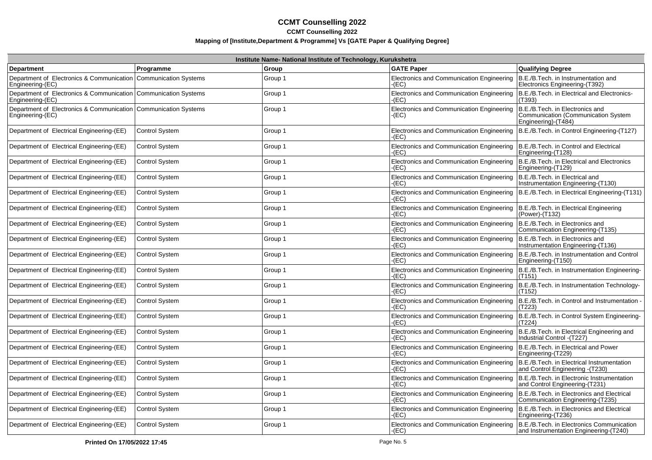|                                                                                       |                       | Institute Name- National Institute of Technology, Kurukshetra |                                                      |                                                                                               |
|---------------------------------------------------------------------------------------|-----------------------|---------------------------------------------------------------|------------------------------------------------------|-----------------------------------------------------------------------------------------------|
| Department                                                                            | Programme             | Group                                                         | <b>GATE Paper</b>                                    | <b>Qualifying Degree</b>                                                                      |
| Department of Electronics & Communication Communication Systems<br>Engineering-(EC)   |                       | Group 1                                                       | Electronics and Communication Engineering<br>-(EC)   | B.E./B.Tech. in Instrumentation and<br>Electronics Engineering-(T392)                         |
| Department of Electronics & Communication   Communication Systems<br>Engineering-(EC) |                       | Group 1                                                       | Electronics and Communication Engineering<br>-(EC)   | B.E./B.Tech. in Electrical and Electronics-<br>(T393)                                         |
| Department of Electronics & Communication   Communication Systems<br>Engineering-(EC) |                       | Group 1                                                       | Electronics and Communication Engineering<br>-(EC)   | B.E./B.Tech. in Electronics and<br>Communication (Communication System<br>Engineering)-(T484) |
| Department of Electrical Engineering-(EE)                                             | <b>Control System</b> | Group 1                                                       | Electronics and Communication Engineering<br>-(EC)   | B.E./B.Tech. in Control Engineering-(T127)                                                    |
| Department of Electrical Engineering-(EE)                                             | <b>Control System</b> | Group 1                                                       | Electronics and Communication Engineering<br>$-(EC)$ | B.E./B.Tech. in Control and Electrical<br>Engineering-(T128)                                  |
| Department of Electrical Engineering-(EE)                                             | <b>Control System</b> | Group 1                                                       | Electronics and Communication Engineering<br>(EC)    | B.E./B.Tech. in Electrical and Electronics<br>Engineering-(T129)                              |
| Department of Electrical Engineering-(EE)                                             | <b>Control System</b> | Group 1                                                       | Electronics and Communication Engineering<br>(EC)    | B.E./B.Tech. in Electrical and<br>Instrumentation Engineering-(T130)                          |
| Department of Electrical Engineering-(EE)                                             | <b>Control System</b> | Group 1                                                       | Electronics and Communication Engineering<br>(EC)    | B.E./B.Tech. in Electrical Engineering-(T131)                                                 |
| Department of Electrical Engineering-(EE)                                             | <b>Control System</b> | Group 1                                                       | Electronics and Communication Engineering<br>(EC)    | B.E./B.Tech. in Electrical Engineering<br>(Power)-(T132)                                      |
| Department of Electrical Engineering-(EE)                                             | <b>Control System</b> | Group 1                                                       | Electronics and Communication Engineering<br>-(EC)   | B.E./B.Tech. in Electronics and<br>Communication Engineering-(T135)                           |
| Department of Electrical Engineering-(EE)                                             | <b>Control System</b> | Group 1                                                       | Electronics and Communication Engineering<br>$-(EC)$ | B.E./B.Tech. in Electronics and<br>Instrumentation Engineering-(T136)                         |
| Department of Electrical Engineering-(EE)                                             | <b>Control System</b> | Group 1                                                       | Electronics and Communication Engineering<br>$-(EC)$ | B.E./B.Tech. in Instrumentation and Control<br>Engineering-(T150)                             |
| Department of Electrical Engineering-(EE)                                             | <b>Control System</b> | Group 1                                                       | Electronics and Communication Engineering<br>-(EC)   | B.E./B.Tech. in Instrumentation Engineering-<br>(T151)                                        |
| Department of Electrical Engineering-(EE)                                             | <b>Control System</b> | Group 1                                                       | Electronics and Communication Engineering<br>(EC)    | B.E./B.Tech. in Instrumentation Technology-<br>(T152)                                         |
| Department of Electrical Engineering-(EE)                                             | <b>Control System</b> | Group 1                                                       | Electronics and Communication Engineering<br>(EC)    | B.E./B.Tech. in Control and Instrumentation<br>(T223)                                         |
| Department of Electrical Engineering-(EE)                                             | <b>Control System</b> | Group 1                                                       | Electronics and Communication Engineering<br>(EC)    | B.E./B.Tech. in Control System Engineering-<br>(T224)                                         |
| Department of Electrical Engineering-(EE)                                             | <b>Control System</b> | Group 1                                                       | Electronics and Communication Engineering<br>(EC)    | B.E./B.Tech. in Electrical Engineering and<br>Industrial Control - (T227)                     |
| Department of Electrical Engineering-(EE)                                             | <b>Control System</b> | Group 1                                                       | Electronics and Communication Engineering<br>-(EC)   | B.E./B.Tech. in Electrical and Power<br>Engineering-(T229)                                    |
| Department of Electrical Engineering-(EE)                                             | <b>Control System</b> | Group 1                                                       | Electronics and Communication Engineering<br>-(EC)   | B.E./B.Tech. in Electrical Instrumentation<br>and Control Engineering - (T230)                |
| Department of Electrical Engineering-(EE)                                             | <b>Control System</b> | Group 1                                                       | Electronics and Communication Engineering<br>(EC)    | B.E./B.Tech. in Electronic Instrumentation<br>and Control Engineering-(T231)                  |
| Department of Electrical Engineering-(EE)                                             | <b>Control System</b> | Group 1                                                       | Electronics and Communication Engineering<br>-(EC)   | B.E./B.Tech. in Electronics and Electrical<br>Communication Engineering-(T235)                |
| Department of Electrical Engineering-(EE)                                             | <b>Control System</b> | Group 1                                                       | Electronics and Communication Engineering<br>-(EC)   | B.E./B.Tech. in Electronics and Electrical<br>Engineering-(T236)                              |
| Department of Electrical Engineering-(EE)                                             | <b>Control System</b> | Group 1                                                       | Electronics and Communication Engineering<br>-(EC)   | B.E./B.Tech. in Electronics Communication<br>and Instrumentation Engineering-(T240)           |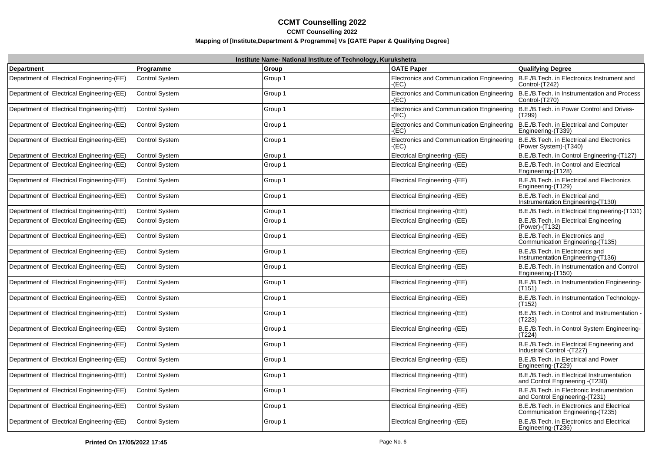| Institute Name- National Institute of Technology, Kurukshetra |                       |         |                                                           |                                                                                |
|---------------------------------------------------------------|-----------------------|---------|-----------------------------------------------------------|--------------------------------------------------------------------------------|
| <b>Department</b>                                             | Programme             | Group   | <b>GATE Paper</b>                                         | <b>Qualifying Degree</b>                                                       |
| Department of Electrical Engineering-(EE)                     | <b>Control System</b> | Group 1 | Electronics and Communication Engineering<br>$-(EC)$      | B.E./B.Tech. in Electronics Instrument and<br>Control-(T242)                   |
| Department of Electrical Engineering-(EE)                     | <b>Control System</b> | Group 1 | <b>Electronics and Communication Engineering</b><br>-(EC) | B.E./B.Tech. in Instrumentation and Process<br>Control-(T270)                  |
| Department of Electrical Engineering-(EE)                     | <b>Control System</b> | Group 1 | Electronics and Communication Engineering<br>$-(EC)$      | B.E./B.Tech. in Power Control and Drives-<br>(T299)                            |
| Department of Electrical Engineering-(EE)                     | <b>Control System</b> | Group 1 | Electronics and Communication Engineering<br>$-(EC)$      | B.E./B.Tech. in Electrical and Computer<br>Engineering-(T339)                  |
| Department of Electrical Engineering-(EE)                     | <b>Control System</b> | Group 1 | Electronics and Communication Engineering<br>$-(EC)$      | B.E./B.Tech. in Electrical and Electronics<br>(Power System)-(T340)            |
| Department of Electrical Engineering-(EE)                     | <b>Control System</b> | Group 1 | Electrical Engineering -(EE)                              | B.E./B.Tech. in Control Engineering-(T127)                                     |
| Department of Electrical Engineering-(EE)                     | <b>Control System</b> | Group 1 | Electrical Engineering -(EE)                              | B.E./B.Tech. in Control and Electrical<br>Engineering-(T128)                   |
| Department of Electrical Engineering-(EE)                     | <b>Control System</b> | Group 1 | Electrical Engineering -(EE)                              | B.E./B.Tech. in Electrical and Electronics<br>Engineering-(T129)               |
| Department of Electrical Engineering-(EE)                     | <b>Control System</b> | Group 1 | Electrical Engineering -(EE)                              | B.E./B.Tech. in Electrical and<br>Instrumentation Engineering-(T130)           |
| Department of Electrical Engineering-(EE)                     | <b>Control System</b> | Group 1 | Electrical Engineering - (EE)                             | B.E./B.Tech. in Electrical Engineering-(T131)                                  |
| Department of Electrical Engineering-(EE)                     | <b>Control System</b> | Group 1 | Electrical Engineering -(EE)                              | B.E./B.Tech. in Electrical Engineering<br>(Power)-(T132)                       |
| Department of Electrical Engineering-(EE)                     | <b>Control System</b> | Group 1 | Electrical Engineering -(EE)                              | B.E./B.Tech. in Electronics and<br>Communication Engineering-(T135)            |
| Department of Electrical Engineering-(EE)                     | <b>Control System</b> | Group 1 | Electrical Engineering -(EE)                              | B.E./B.Tech. in Electronics and<br>Instrumentation Engineering-(T136)          |
| Department of Electrical Engineering-(EE)                     | <b>Control System</b> | Group 1 | Electrical Engineering -(EE)                              | B.E./B.Tech. in Instrumentation and Control<br>Engineering-(T150)              |
| Department of Electrical Engineering-(EE)                     | <b>Control System</b> | Group 1 | Electrical Engineering -(EE)                              | B.E./B.Tech. in Instrumentation Engineering-<br>(T151)                         |
| Department of Electrical Engineering-(EE)                     | Control System        | Group 1 | Electrical Engineering -(EE)                              | B.E./B.Tech. in Instrumentation Technology-<br>(T152)                          |
| Department of Electrical Engineering-(EE)                     | <b>Control System</b> | Group 1 | Electrical Engineering -(EE)                              | B.E./B.Tech. in Control and Instrumentation<br>(T223)                          |
| Department of Electrical Engineering-(EE)                     | <b>Control System</b> | Group 1 | Electrical Engineering -(EE)                              | B.E./B.Tech. in Control System Engineering-<br>(T224)                          |
| Department of Electrical Engineering-(EE)                     | <b>Control System</b> | Group 1 | Electrical Engineering -(EE)                              | B.E./B.Tech. in Electrical Engineering and<br>Industrial Control - (T227)      |
| Department of Electrical Engineering-(EE)                     | <b>Control System</b> | Group 1 | Electrical Engineering -(EE)                              | B.E./B.Tech. in Electrical and Power<br>Engineering-(T229)                     |
| Department of Electrical Engineering-(EE)                     | <b>Control System</b> | Group 1 | Electrical Engineering -(EE)                              | B.E./B.Tech. in Electrical Instrumentation<br>and Control Engineering - (T230) |
| Department of Electrical Engineering-(EE)                     | <b>Control System</b> | Group 1 | Electrical Engineering -(EE)                              | B.E./B.Tech. in Electronic Instrumentation<br>and Control Engineering-(T231)   |
| Department of Electrical Engineering-(EE)                     | <b>Control System</b> | Group 1 | Electrical Engineering -(EE)                              | B.E./B.Tech. in Electronics and Electrical<br>Communication Engineering-(T235) |
| Department of Electrical Engineering-(EE)                     | <b>Control System</b> | Group 1 | Electrical Engineering -(EE)                              | B.E./B.Tech. in Electronics and Electrical<br>Engineering-(T236)               |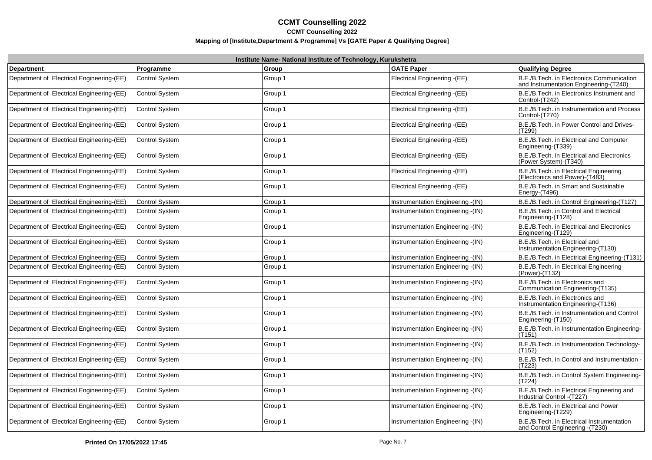|                                           |                       | Institute Name- National Institute of Technology, Kurukshetra |                                   |                                                                                     |
|-------------------------------------------|-----------------------|---------------------------------------------------------------|-----------------------------------|-------------------------------------------------------------------------------------|
| <b>Department</b>                         | Programme             | Group                                                         | <b>GATE Paper</b>                 | Qualifying Degree                                                                   |
| Department of Electrical Engineering-(EE) | <b>Control System</b> | Group 1                                                       | Electrical Engineering - (EE)     | B.E./B.Tech. in Electronics Communication<br>and Instrumentation Engineering-(T240) |
| Department of Electrical Engineering-(EE) | <b>Control System</b> | Group 1                                                       | Electrical Engineering -(EE)      | B.E./B.Tech. in Electronics Instrument and<br>Control-(T242)                        |
| Department of Electrical Engineering-(EE) | <b>Control System</b> | Group 1                                                       | Electrical Engineering -(EE)      | B.E./B.Tech. in Instrumentation and Process<br>Control-(T270)                       |
| Department of Electrical Engineering-(EE) | <b>Control System</b> | Group 1                                                       | Electrical Engineering -(EE)      | B.E./B.Tech. in Power Control and Drives-<br>(T299)                                 |
| Department of Electrical Engineering-(EE) | <b>Control System</b> | Group 1                                                       | Electrical Engineering -(EE)      | B.E./B.Tech. in Electrical and Computer<br>Engineering-(T339)                       |
| Department of Electrical Engineering-(EE) | <b>Control System</b> | Group 1                                                       | Electrical Engineering -(EE)      | B.E./B.Tech. in Electrical and Electronics<br>(Power System)-(T340)                 |
| Department of Electrical Engineering-(EE) | <b>Control System</b> | Group 1                                                       | Electrical Engineering -(EE)      | B.E./B.Tech. in Electrical Engineering<br>(Electronics and Power)-(T483)            |
| Department of Electrical Engineering-(EE) | <b>Control System</b> | Group 1                                                       | Electrical Engineering -(EE)      | B.E./B.Tech. in Smart and Sustainable<br>Energy-(T496)                              |
| Department of Electrical Engineering-(EE) | <b>Control System</b> | Group 1                                                       | Instrumentation Engineering -(IN) | B.E./B.Tech. in Control Engineering-(T127)                                          |
| Department of Electrical Engineering-(EE) | <b>Control System</b> | Group 1                                                       | Instrumentation Engineering -(IN) | B.E./B.Tech. in Control and Electrical<br>Engineering-(T128)                        |
| Department of Electrical Engineering-(EE) | <b>Control System</b> | Group 1                                                       | Instrumentation Engineering -(IN) | B.E./B.Tech. in Electrical and Electronics<br>Engineering-(T129)                    |
| Department of Electrical Engineering-(EE) | <b>Control System</b> | Group 1                                                       | Instrumentation Engineering -(IN) | B.E./B.Tech. in Electrical and<br>Instrumentation Engineering-(T130)                |
| Department of Electrical Engineering-(EE) | <b>Control System</b> | Group 1                                                       | Instrumentation Engineering -(IN) | B.E./B.Tech. in Electrical Engineering-(T131)                                       |
| Department of Electrical Engineering-(EE) | <b>Control System</b> | Group 1                                                       | Instrumentation Engineering -(IN) | B.E./B.Tech. in Electrical Engineering<br>(Power)-(T132)                            |
| Department of Electrical Engineering-(EE) | <b>Control System</b> | Group 1                                                       | Instrumentation Engineering -(IN) | B.E./B.Tech. in Electronics and<br>Communication Engineering-(T135)                 |
| Department of Electrical Engineering-(EE) | <b>Control System</b> | Group 1                                                       | Instrumentation Engineering -(IN) | B.E./B.Tech. in Electronics and<br>Instrumentation Engineering-(T136)               |
| Department of Electrical Engineering-(EE) | <b>Control System</b> | Group 1                                                       | Instrumentation Engineering -(IN) | B.E./B.Tech. in Instrumentation and Control<br>Engineering-(T150)                   |
| Department of Electrical Engineering-(EE) | <b>Control System</b> | Group 1                                                       | Instrumentation Engineering -(IN) | B.E./B.Tech. in Instrumentation Engineering-<br>(T151)                              |
| Department of Electrical Engineering-(EE) | <b>Control System</b> | Group 1                                                       | Instrumentation Engineering -(IN) | B.E./B.Tech. in Instrumentation Technology-<br>(T152)                               |
| Department of Electrical Engineering-(EE) | <b>Control System</b> | Group 1                                                       | Instrumentation Engineering -(IN) | B.E./B.Tech. in Control and Instrumentation<br>(T223)                               |
| Department of Electrical Engineering-(EE) | <b>Control System</b> | Group 1                                                       | Instrumentation Engineering -(IN) | B.E./B.Tech. in Control System Engineering-<br>(T224)                               |
| Department of Electrical Engineering-(EE) | <b>Control System</b> | Group 1                                                       | Instrumentation Engineering -(IN) | B.E./B.Tech. in Electrical Engineering and<br>Industrial Control -(T227)            |
| Department of Electrical Engineering-(EE) | <b>Control System</b> | Group 1                                                       | Instrumentation Engineering -(IN) | B.E./B.Tech. in Electrical and Power<br>Engineering-(T229)                          |
| Department of Electrical Engineering-(EE) | <b>Control System</b> | Group 1                                                       | Instrumentation Engineering -(IN) | B.E./B.Tech. in Electrical Instrumentation<br>and Control Engineering - (T230)      |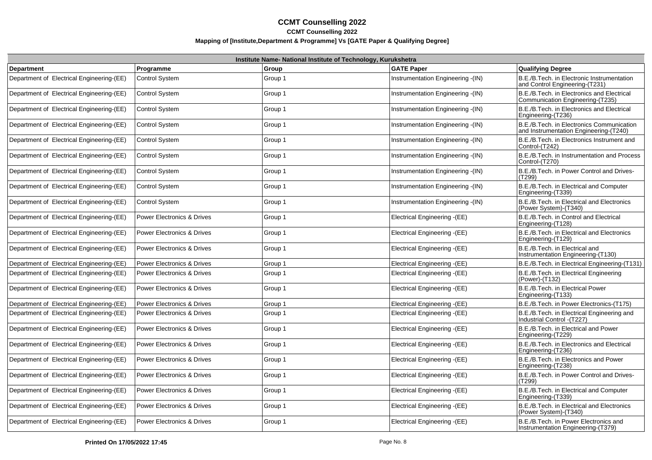|                                           |                                       | Institute Name- National Institute of Technology, Kurukshetra |                                    |                                                                                     |
|-------------------------------------------|---------------------------------------|---------------------------------------------------------------|------------------------------------|-------------------------------------------------------------------------------------|
| <b>Department</b>                         | Programme                             | Group                                                         | <b>GATE Paper</b>                  | Qualifying Degree                                                                   |
| Department of Electrical Engineering-(EE) | <b>Control System</b>                 | Group 1                                                       | Instrumentation Engineering - (IN) | B.E./B.Tech. in Electronic Instrumentation<br>and Control Engineering-(T231)        |
| Department of Electrical Engineering-(EE) | <b>Control System</b>                 | Group 1                                                       | Instrumentation Engineering -(IN)  | B.E./B.Tech. in Electronics and Electrical<br>Communication Engineering-(T235)      |
| Department of Electrical Engineering-(EE) | <b>Control System</b>                 | Group 1                                                       | Instrumentation Engineering -(IN)  | B.E./B.Tech. in Electronics and Electrical<br>Engineering-(T236)                    |
| Department of Electrical Engineering-(EE) | <b>Control System</b>                 | Group 1                                                       | Instrumentation Engineering -(IN)  | B.E./B.Tech. in Electronics Communication<br>and Instrumentation Engineering-(T240) |
| Department of Electrical Engineering-(EE) | <b>Control System</b>                 | Group 1                                                       | Instrumentation Engineering -(IN)  | B.E./B.Tech. in Electronics Instrument and<br>Control-(T242)                        |
| Department of Electrical Engineering-(EE) | <b>Control System</b>                 | Group 1                                                       | Instrumentation Engineering -(IN)  | B.E./B.Tech. in Instrumentation and Process<br>Control-(T270)                       |
| Department of Electrical Engineering-(EE) | <b>Control System</b>                 | Group 1                                                       | nstrumentation Engineering - (IN)  | B.E./B.Tech. in Power Control and Drives-<br>(T299)                                 |
| Department of Electrical Engineering-(EE) | <b>Control System</b>                 | Group 1                                                       | Instrumentation Engineering -(IN)  | B.E./B.Tech. in Electrical and Computer<br>Engineering-(T339)                       |
| Department of Electrical Engineering-(EE) | <b>Control System</b>                 | Group 1                                                       | Instrumentation Engineering -(IN)  | B.E./B.Tech. in Electrical and Electronics<br>(Power System)-(T340)                 |
| Department of Electrical Engineering-(EE) | <b>Power Electronics &amp; Drives</b> | Group 1                                                       | Electrical Engineering -(EE)       | B.E./B.Tech. in Control and Electrical<br>Engineering-(T128)                        |
| Department of Electrical Engineering-(EE) | <b>Power Electronics &amp; Drives</b> | Group 1                                                       | Electrical Engineering -(EE)       | B.E./B.Tech. in Electrical and Electronics<br>Engineering-(T129)                    |
| Department of Electrical Engineering-(EE) | <b>Power Electronics &amp; Drives</b> | Group 1                                                       | Electrical Engineering -(EE)       | B.E./B.Tech. in Electrical and<br>Instrumentation Engineering-(T130)                |
| Department of Electrical Engineering-(EE) | <b>Power Electronics &amp; Drives</b> | Group 1                                                       | Electrical Engineering - (EE)      | B.E./B.Tech. in Electrical Engineering-(T131)                                       |
| Department of Electrical Engineering-(EE) | <b>Power Electronics &amp; Drives</b> | Group 1                                                       | Electrical Engineering -(EE)       | B.E./B.Tech. in Electrical Engineering<br>(Power)-(T132)                            |
| Department of Electrical Engineering-(EE) | <b>Power Electronics &amp; Drives</b> | Group 1                                                       | Electrical Engineering -(EE)       | B.E./B.Tech. in Electrical Power<br>Engineering-(T133)                              |
| Department of Electrical Engineering-(EE) | <b>Power Electronics &amp; Drives</b> | Group 1                                                       | Electrical Engineering - (EE)      | B.E./B.Tech. in Power Electronics-(T175)                                            |
| Department of Electrical Engineering-(EE) | Power Electronics & Drives            | Group 1                                                       | Electrical Engineering -(EE)       | B.E./B.Tech. in Electrical Engineering and<br>Industrial Control -(T227)            |
| Department of Electrical Engineering-(EE) | <b>Power Electronics &amp; Drives</b> | Group 1                                                       | Electrical Engineering -(EE)       | B.E./B.Tech. in Electrical and Power<br>Engineering-(T229)                          |
| Department of Electrical Engineering-(EE) | <b>Power Electronics &amp; Drives</b> | Group 1                                                       | Electrical Engineering -(EE)       | B.E./B.Tech. in Electronics and Electrical<br>Engineering-(T236)                    |
| Department of Electrical Engineering-(EE) | <b>Power Electronics &amp; Drives</b> | Group 1                                                       | Electrical Engineering -(EE)       | B.E./B.Tech. in Electronics and Power<br>Engineering-(T238)                         |
| Department of Electrical Engineering-(EE) | <b>Power Electronics &amp; Drives</b> | Group 1                                                       | Electrical Engineering -(EE)       | B.E./B.Tech. in Power Control and Drives-<br>(T299)                                 |
| Department of Electrical Engineering-(EE) | <b>Power Electronics &amp; Drives</b> | Group 1                                                       | Electrical Engineering -(EE)       | B.E./B.Tech. in Electrical and Computer<br>Engineering-(T339)                       |
| Department of Electrical Engineering-(EE) | <b>Power Electronics &amp; Drives</b> | Group 1                                                       | Electrical Engineering -(EE)       | B.E./B.Tech. in Electrical and Electronics<br>(Power System)-(T340)                 |
| Department of Electrical Engineering-(EE) | <b>Power Electronics &amp; Drives</b> | Group 1                                                       | Electrical Engineering -(EE)       | B.E./B.Tech. in Power Electronics and<br>Instrumentation Engineering-(T379)         |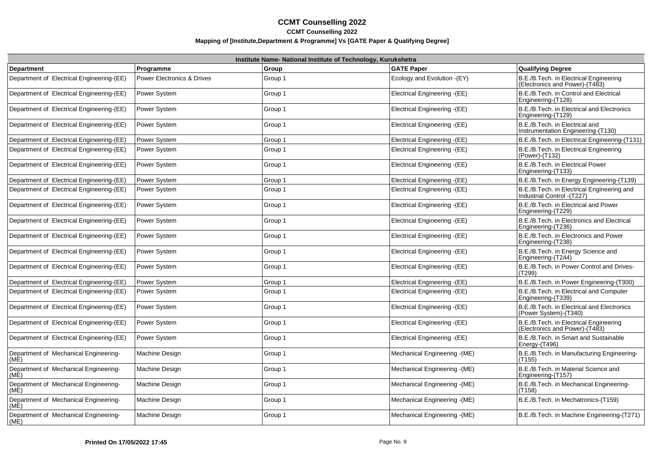|                                               | Institute Name- National Institute of Technology, Kurukshetra |         |                               |                                                                           |  |
|-----------------------------------------------|---------------------------------------------------------------|---------|-------------------------------|---------------------------------------------------------------------------|--|
| <b>Department</b>                             | Programme                                                     | Group   | <b>GATE Paper</b>             | <b>Qualifying Degree</b>                                                  |  |
| Department of Electrical Engineering-(EE)     | <b>Power Electronics &amp; Drives</b>                         | Group 1 | Ecology and Evolution -(EY)   | B.E./B.Tech. in Electrical Engineering<br>(Electronics and Power)-(T483)  |  |
| Department of Electrical Engineering-(EE)     | Power System                                                  | Group 1 | Electrical Engineering -(EE)  | B.E./B.Tech. in Control and Electrical<br>Engineering-(T128)              |  |
| Department of Electrical Engineering-(EE)     | Power System                                                  | Group 1 | Electrical Engineering -(EE)  | B.E./B.Tech. in Electrical and Electronics<br>Engineering-(T129)          |  |
| Department of Electrical Engineering-(EE)     | Power System                                                  | Group 1 | Electrical Engineering -(EE)  | B.E./B.Tech. in Electrical and<br>Instrumentation Engineering-(T130)      |  |
| Department of Electrical Engineering-(EE)     | Power System                                                  | Group 1 | Electrical Engineering - (EE) | B.E./B.Tech. in Electrical Engineering-(T131)                             |  |
| Department of Electrical Engineering-(EE)     | Power System                                                  | Group 1 | Electrical Engineering -(EE)  | B.E./B.Tech. in Electrical Engineering<br>(Power)-(T132)                  |  |
| Department of Electrical Engineering-(EE)     | Power System                                                  | Group 1 | Electrical Engineering -(EE)  | B.E./B.Tech. in Electrical Power<br>Engineering-(T133)                    |  |
| Department of Electrical Engineering-(EE)     | Power System                                                  | Group 1 | Electrical Engineering -(EE)  | B.E./B.Tech. in Energy Engineering-(T139)                                 |  |
| Department of Electrical Engineering-(EE)     | Power System                                                  | Group 1 | Electrical Engineering -(EE)  | B.E./B.Tech. in Electrical Engineering and<br>Industrial Control - (T227) |  |
| Department of Electrical Engineering-(EE)     | Power System                                                  | Group 1 | Electrical Engineering -(EE)  | B.E./B.Tech. in Electrical and Power<br>Engineering-(T229)                |  |
| Department of Electrical Engineering-(EE)     | Power System                                                  | Group 1 | Electrical Engineering -(EE)  | B.E./B.Tech. in Electronics and Electrical<br>Engineering-(T236)          |  |
| Department of Electrical Engineering-(EE)     | Power System                                                  | Group 1 | Electrical Engineering -(EE)  | B.E./B.Tech. in Electronics and Power<br>Engineering-(T238)               |  |
| Department of Electrical Engineering-(EE)     | Power System                                                  | Group 1 | Electrical Engineering -(EE)  | B.E./B.Tech. in Energy Science and<br>Engineering-(T244)                  |  |
| Department of Electrical Engineering-(EE)     | Power System                                                  | Group 1 | Electrical Engineering - (EE) | B.E./B.Tech. in Power Control and Drives-<br>(T299)                       |  |
| Department of Electrical Engineering-(EE)     | Power System                                                  | Group 1 | Electrical Engineering -(EE)  | B.E./B.Tech. in Power Engineering-(T300)                                  |  |
| Department of Electrical Engineering-(EE)     | Power System                                                  | Group 1 | Electrical Engineering -(EE)  | B.E./B.Tech. in Electrical and Computer<br>Engineering-(T339)             |  |
| Department of Electrical Engineering-(EE)     | Power System                                                  | Group 1 | Electrical Engineering -(EE)  | B.E./B.Tech. in Electrical and Electronics<br>(Power System)-(T340)       |  |
| Department of Electrical Engineering-(EE)     | Power System                                                  | Group 1 | Electrical Engineering -(EE)  | B.E./B.Tech. in Electrical Engineering<br>(Electronics and Power)-(T483)  |  |
| Department of Electrical Engineering-(EE)     | Power System                                                  | Group 1 | Electrical Engineering -(EE)  | B.E./B.Tech. in Smart and Sustainable<br>Energy-(T496)                    |  |
| Department of Mechanical Engineering-<br>(ME) | Machine Design                                                | Group 1 | Mechanical Engineering - (ME) | B.E./B.Tech. in Manufacturing Engineering-<br>(T155)                      |  |
| Department of Mechanical Engineering-<br>(ME) | Machine Design                                                | Group 1 | Mechanical Engineering - (ME) | B.E./B.Tech. in Material Science and<br>Engineering-(T157)                |  |
| Department of Mechanical Engineering-<br>(ME) | <b>Machine Design</b>                                         | Group 1 | Mechanical Engineering - (ME) | B.E./B.Tech. in Mechanical Engineering-<br>(T158)                         |  |
| Department of Mechanical Engineering-<br>(ME) | Machine Design                                                | Group 1 | Mechanical Engineering - (ME) | B.E./B.Tech. in Mechatronics-(T159)                                       |  |
| Department of Mechanical Engineering-<br>(ME) | Machine Design                                                | Group 1 | Mechanical Engineering - (ME) | B.E./B.Tech. in Machine Engineering-(T271)                                |  |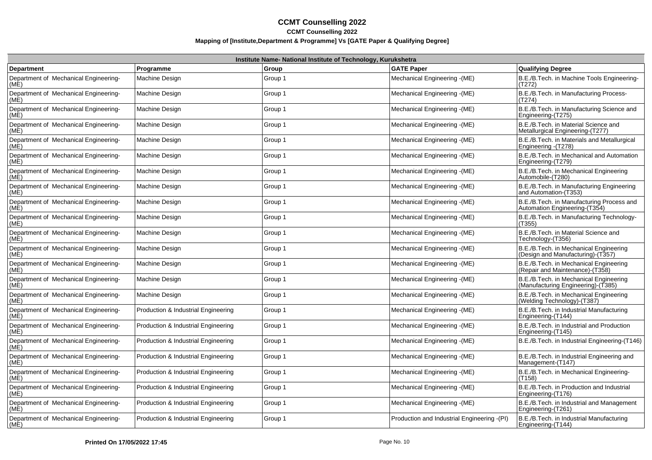|                                               | Institute Name- National Institute of Technology, Kurukshetra |         |                                              |                                                                              |  |
|-----------------------------------------------|---------------------------------------------------------------|---------|----------------------------------------------|------------------------------------------------------------------------------|--|
| <b>Department</b>                             | Programme                                                     | Group   | <b>GATE Paper</b>                            | Qualifying Degree                                                            |  |
| Department of Mechanical Engineering-<br>(ME) | Machine Design                                                | Group 1 | Mechanical Engineering - (ME)                | B.E./B.Tech. in Machine Tools Engineering-<br>(T272)                         |  |
| Department of Mechanical Engineering-<br>(ME) | Machine Design                                                | Group 1 | Mechanical Engineering - (ME)                | B.E./B.Tech. in Manufacturing Process-<br>(T274)                             |  |
| Department of Mechanical Engineering-<br>(MÉ) | Machine Design                                                | Group 1 | Mechanical Engineering - (ME)                | B.E./B.Tech. in Manufacturing Science and<br>Engineering-(T275)              |  |
| Department of Mechanical Engineering-<br>(ME) | Machine Design                                                | Group 1 | Mechanical Engineering - (ME)                | B.E./B.Tech. in Material Science and<br>Metallurgical Engineering-(T277)     |  |
| Department of Mechanical Engineering-<br>(ME) | Machine Design                                                | Group 1 | Mechanical Engineering - (ME)                | B.E./B.Tech. in Materials and Metallurgical<br>Engineering - (T278)          |  |
| Department of Mechanical Engineering-<br>(ME) | Machine Design                                                | Group 1 | Mechanical Engineering - (ME)                | B.E./B.Tech. in Mechanical and Automation<br>Engineering-(T279)              |  |
| Department of Mechanical Engineering-<br>(ME) | Machine Design                                                | Group 1 | Mechanical Engineering - (ME)                | B.E./B.Tech. in Mechanical Engineering<br>Automobile-(T280)                  |  |
| Department of Mechanical Engineering-<br>(ME) | Machine Design                                                | Group 1 | Mechanical Engineering - (ME)                | B.E./B.Tech. in Manufacturing Engineering<br>and Automation-(T353)           |  |
| Department of Mechanical Engineering-<br>(MÉ) | Machine Design                                                | Group 1 | Mechanical Engineering - (ME)                | B.E./B.Tech. in Manufacturing Process and<br>Automation Engineering (T354)   |  |
| Department of Mechanical Engineering-<br>(ME) | Machine Design                                                | Group 1 | Mechanical Engineering - (ME)                | B.E./B.Tech. in Manufacturing Technology-<br>(T355)                          |  |
| Department of Mechanical Engineering-<br>(ME) | Machine Design                                                | Group 1 | Mechanical Engineering - (ME)                | B.E./B.Tech. in Material Science and<br>Technology-(T356)                    |  |
| Department of Mechanical Engineering-<br>(ME) | Machine Design                                                | Group 1 | Mechanical Engineering - (ME)                | B.E./B.Tech. in Mechanical Engineering<br>(Design and Manufacturing)-(T357)  |  |
| Department of Mechanical Engineering-<br>(ME) | Machine Design                                                | Group 1 | Mechanical Engineering - (ME)                | B.E./B.Tech. in Mechanical Engineering<br>(Repair and Maintenance) (T358)    |  |
| Department of Mechanical Engineering-<br>(ME) | Machine Design                                                | Group 1 | Mechanical Engineering - (ME)                | B.E./B.Tech. in Mechanical Engineering<br>(Manufacturing Engineering)-(T385) |  |
| Department of Mechanical Engineering-<br>(ME) | Machine Design                                                | Group 1 | Mechanical Engineering - (ME)                | B.E./B.Tech. in Mechanical Engineering<br>(Welding Technology)-(T387)        |  |
| Department of Mechanical Engineering-<br>(ME) | Production & Industrial Engineering                           | Group 1 | Mechanical Engineering - (ME)                | B.E./B.Tech. in Industrial Manufacturing<br>Engineering-(T144)               |  |
| Department of Mechanical Engineering-<br>(ME) | Production & Industrial Engineering                           | Group 1 | Mechanical Engineering - (ME)                | B.E./B.Tech. in Industrial and Production<br>Engineering-(T145)              |  |
| Department of Mechanical Engineering-<br>(ME) | Production & Industrial Engineering                           | Group 1 | Mechanical Engineering - (ME)                | B.E./B.Tech. in Industrial Engineering-(T146)                                |  |
| Department of Mechanical Engineering-<br>(ME) | Production & Industrial Engineering                           | Group 1 | Mechanical Engineering - (ME)                | B.E./B.Tech. in Industrial Engineering and<br>Management-(T147)              |  |
| Department of Mechanical Engineering-<br>(MÉ) | Production & Industrial Engineering                           | Group 1 | Mechanical Engineering - (ME)                | B.E./B.Tech. in Mechanical Engineering-<br>(T158)                            |  |
| Department of Mechanical Engineering-<br>(ME) | Production & Industrial Engineering                           | Group 1 | Mechanical Engineering - (ME)                | B.E./B.Tech. in Production and Industrial<br>Engineering-(T176)              |  |
| Department of Mechanical Engineering-<br>(ME) | Production & Industrial Engineering                           | Group 1 | Mechanical Engineering - (ME)                | B.E./B.Tech. in Industrial and Management<br>Engineering-(T261)              |  |
| Department of Mechanical Engineering-<br>(ME) | Production & Industrial Engineering                           | Group 1 | Production and Industrial Engineering - (PI) | B.E./B.Tech. in Industrial Manufacturing<br>Engineering-(T144)               |  |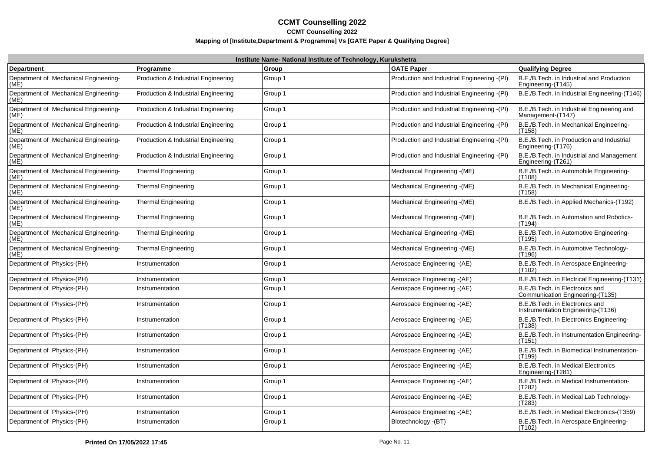|                                               | Institute Name- National Institute of Technology, Kurukshetra |         |                                              |                                                                       |  |
|-----------------------------------------------|---------------------------------------------------------------|---------|----------------------------------------------|-----------------------------------------------------------------------|--|
| <b>Department</b>                             | Programme                                                     | Group   | <b>GATE Paper</b>                            | <b>Qualifying Degree</b>                                              |  |
| Department of Mechanical Engineering-<br>(ME) | Production & Industrial Engineering                           | Group 1 | Production and Industrial Engineering - (PI) | IB.E./B.Tech. in Industrial and Production<br>Engineering-(T145)      |  |
| Department of Mechanical Engineering-<br>(ME) | Production & Industrial Engineering                           | Group 1 | Production and Industrial Engineering - (PI) | B.E./B.Tech. in Industrial Engineering-(T146)                         |  |
| Department of Mechanical Engineering-<br>(ME) | Production & Industrial Engineering                           | Group 1 | Production and Industrial Engineering - (PI) | B.E./B.Tech. in Industrial Engineering and<br>Management-(T147)       |  |
| Department of Mechanical Engineering-<br>(ME) | Production & Industrial Engineering                           | Group 1 | Production and Industrial Engineering -(PI)  | B.E./B.Tech. in Mechanical Engineering-<br>(T158)                     |  |
| Department of Mechanical Engineering-<br>(ME) | Production & Industrial Engineering                           | Group 1 | Production and Industrial Engineering - (PI) | B.E./B.Tech. in Production and Industrial<br>Engineering-(T176)       |  |
| Department of Mechanical Engineering-<br>(ME) | Production & Industrial Engineering                           | Group 1 | Production and Industrial Engineering - (PI) | B.E./B.Tech. in Industrial and Management<br>Engineering-(T261)       |  |
| Department of Mechanical Engineering-<br>(ME) | <b>Thermal Engineering</b>                                    | Group 1 | Mechanical Engineering - (ME)                | B.E./B.Tech. in Automobile Engineering-<br>(T108)                     |  |
| Department of Mechanical Engineering-<br>(MÉ) | <b>Thermal Engineering</b>                                    | Group 1 | Mechanical Engineering - (ME)                | B.E./B.Tech. in Mechanical Engineering-<br>(T158)                     |  |
| Department of Mechanical Engineering-<br>(MÉ) | <b>Thermal Engineering</b>                                    | Group 1 | Mechanical Engineering - (ME)                | B.E./B.Tech. in Applied Mechanics-(T192)                              |  |
| Department of Mechanical Engineering-<br>(ME) | <b>Thermal Engineering</b>                                    | Group 1 | Mechanical Engineering - (ME)                | B.E./B.Tech. in Automation and Robotics-<br>(T194)                    |  |
| Department of Mechanical Engineering-<br>(ME) | <b>Thermal Engineering</b>                                    | Group 1 | Mechanical Engineering - (ME)                | B.E./B.Tech. in Automotive Engineering-<br>(T195)                     |  |
| Department of Mechanical Engineering-<br>(ME) | Thermal Engineering                                           | Group 1 | Mechanical Engineering - (ME)                | B.E./B.Tech. in Automotive Technology-<br>(T196)                      |  |
| Department of Physics-(PH)                    | Instrumentation                                               | Group 1 | Aerospace Engineering -(AE)                  | B.E./B.Tech. in Aerospace Engineering-<br>(T102)                      |  |
| Department of Physics-(PH)                    | Instrumentation                                               | Group 1 | Aerospace Engineering -(AE)                  | B.E./B.Tech. in Electrical Engineering-(T131)                         |  |
| Department of Physics-(PH)                    | Instrumentation                                               | Group 1 | Aerospace Engineering - (AE)                 | B.E./B.Tech. in Electronics and<br>Communication Engineering-(T135)   |  |
| Department of Physics-(PH)                    | Instrumentation                                               | Group 1 | Aerospace Engineering - (AE)                 | B.E./B.Tech. in Electronics and<br>Instrumentation Engineering-(T136) |  |
| Department of Physics-(PH)                    | Instrumentation                                               | Group 1 | Aerospace Engineering - (AE)                 | B.E./B.Tech. in Electronics Engineering-<br>(T138)                    |  |
| Department of Physics-(PH)                    | Instrumentation                                               | Group 1 | Aerospace Engineering -(AE)                  | B.E./B.Tech. in Instrumentation Engineering-<br>(T151)                |  |
| Department of Physics-(PH)                    | Instrumentation                                               | Group 1 | Aerospace Engineering - (AE)                 | B.E./B.Tech. in Biomedical Instrumentation-<br>(T199)                 |  |
| Department of Physics-(PH)                    | Instrumentation                                               | Group 1 | Aerospace Engineering - (AE)                 | B.E./B.Tech. in Medical Electronics<br>Engineering-(T281)             |  |
| Department of Physics-(PH)                    | Instrumentation                                               | Group 1 | Aerospace Engineering -(AE)                  | B.E./B.Tech. in Medical Instrumentation-<br>(T282)                    |  |
| Department of Physics-(PH)                    | Instrumentation                                               | Group 1 | Aerospace Engineering -(AE)                  | B.E./B.Tech. in Medical Lab Technology-<br>(T283)                     |  |
| Department of Physics-(PH)                    | Instrumentation                                               | Group 1 | Aerospace Engineering -(AE)                  | B.E./B.Tech. in Medical Electronics-(T359)                            |  |
| Department of Physics-(PH)                    | Instrumentation                                               | Group 1 | Biotechnology - (BT)                         | B.E./B.Tech. in Aerospace Engineering-<br>(T102)                      |  |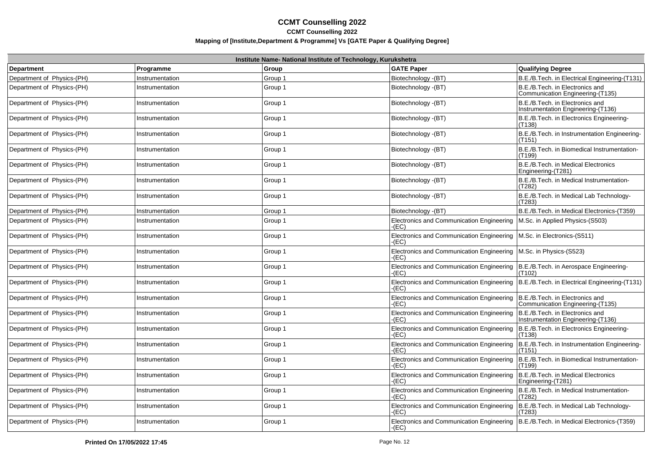|                            |                 | Institute Name- National Institute of Technology, Kurukshetra |                                                            |                                                                       |
|----------------------------|-----------------|---------------------------------------------------------------|------------------------------------------------------------|-----------------------------------------------------------------------|
| Department                 | Programme       | Group                                                         | <b>GATE Paper</b>                                          | <b>Qualifying Degree</b>                                              |
| Department of Physics-(PH) | Instrumentation | Group 1                                                       | Biotechnology - (BT)                                       | B.E./B.Tech. in Electrical Engineering-(T131)                         |
| Department of Physics-(PH) | Instrumentation | Group 1                                                       | Biotechnology - (BT)                                       | B.E./B.Tech. in Electronics and<br>Communication Engineering-(T135)   |
| Department of Physics-(PH) | Instrumentation | Group 1                                                       | Biotechnology - (BT)                                       | B.E./B.Tech. in Electronics and<br>Instrumentation Engineering-(T136) |
| Department of Physics-(PH) | Instrumentation | Group 1                                                       | Biotechnology - (BT)                                       | B.E./B.Tech. in Electronics Engineering-<br>(T138)                    |
| Department of Physics-(PH) | Instrumentation | Group 1                                                       | Biotechnology - (BT)                                       | B.E./B.Tech. in Instrumentation Engineering-<br>(T151)                |
| Department of Physics-(PH) | Instrumentation | Group 1                                                       | Biotechnology - (BT)                                       | B.E./B.Tech. in Biomedical Instrumentation-<br>(T199)                 |
| Department of Physics-(PH) | Instrumentation | Group 1                                                       | Biotechnology - (BT)                                       | B.E./B.Tech. in Medical Electronics<br>Engineering-(T281)             |
| Department of Physics-(PH) | Instrumentation | Group 1                                                       | Biotechnology - (BT)                                       | B.E./B.Tech. in Medical Instrumentation-<br>(T282)                    |
| Department of Physics-(PH) | Instrumentation | Group 1                                                       | Biotechnology - (BT)                                       | B.E./B.Tech. in Medical Lab Technology-<br>(T283)                     |
| Department of Physics-(PH) | Instrumentation | Group 1                                                       | Biotechnology - (BT)                                       | B.E./B.Tech. in Medical Electronics-(T359)                            |
| Department of Physics-(PH) | Instrumentation | Group 1                                                       | Electronics and Communication Engineering<br>-(EC)         | M.Sc. in Applied Physics-(S503)                                       |
| Department of Physics-(PH) | Instrumentation | Group 1                                                       | Electronics and Communication Engineering<br>-(EC)         | M.Sc. in Electronics-(S511)                                           |
| Department of Physics-(PH) | Instrumentation | Group 1                                                       | <b>Electronics and Communication Engineering</b><br>$E$ C) | M.Sc. in Physics-(S523)                                               |
| Department of Physics-(PH) | Instrumentation | Group 1                                                       | <b>Electronics and Communication Engineering</b><br>(EC)   | B.E./B.Tech. in Aerospace Engineering-<br>(T102)                      |
| Department of Physics-(PH) | Instrumentation | Group 1                                                       | Electronics and Communication Engineering<br>(EC)          | B.E./B.Tech. in Electrical Engineering-(T131)                         |
| Department of Physics-(PH) | Instrumentation | Group 1                                                       | Electronics and Communication Engineering<br>$E$ C)        | B.E./B.Tech. in Electronics and<br>Communication Engineering-(T135)   |
| Department of Physics-(PH) | Instrumentation | Group 1                                                       | Electronics and Communication Engineering<br>-(EC)         | B.E./B.Tech. in Electronics and<br>Instrumentation Engineering-(T136) |
| Department of Physics-(PH) | Instrumentation | Group 1                                                       | Electronics and Communication Engineering<br>(EC)          | B.E./B.Tech. in Electronics Engineering-<br>(T138)                    |
| Department of Physics-(PH) | Instrumentation | Group 1                                                       | Electronics and Communication Engineering<br>(EC)          | B.E./B.Tech. in Instrumentation Engineering-<br>(T151)                |
| Department of Physics-(PH) | Instrumentation | Group 1                                                       | Electronics and Communication Engineering<br>(EC)          | B.E./B.Tech. in Biomedical Instrumentation-<br>(T199)                 |
| Department of Physics-(PH) | Instrumentation | Group 1                                                       | Electronics and Communication Engineering<br>(EC)          | B.E./B.Tech. in Medical Electronics<br>Engineering-(T281)             |
| Department of Physics-(PH) | Instrumentation | Group 1                                                       | Electronics and Communication Engineering<br>E(C)          | B.E./B.Tech. in Medical Instrumentation-<br>(T282)                    |
| Department of Physics-(PH) | Instrumentation | Group 1                                                       | Electronics and Communication Engineering<br>(EC)          | B.E./B.Tech. in Medical Lab Technology-<br>(T283)                     |
| Department of Physics-(PH) | Instrumentation | Group 1                                                       | Electronics and Communication Engineering<br>-(EC)         | B.E./B.Tech. in Medical Electronics-(T359)                            |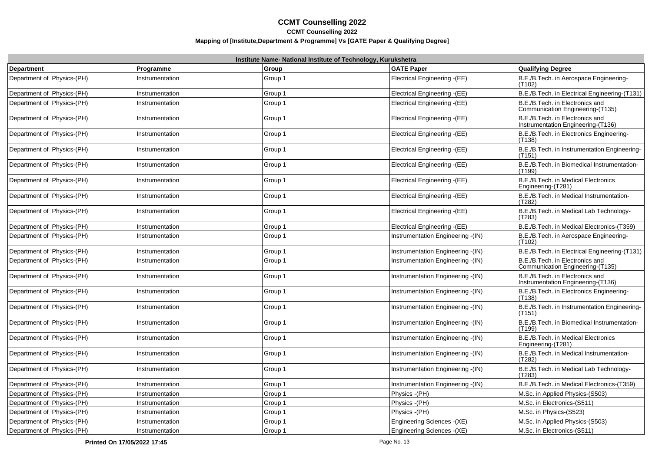| Institute Name- National Institute of Technology, Kurukshetra |                 |         |                                    |                                                                       |
|---------------------------------------------------------------|-----------------|---------|------------------------------------|-----------------------------------------------------------------------|
| <b>Department</b>                                             | Programme       | Group   | <b>GATE Paper</b>                  | <b>Qualifying Degree</b>                                              |
| Department of Physics-(PH)                                    | Instrumentation | Group 1 | Electrical Engineering -(EE)       | B.E./B.Tech. in Aerospace Engineering-<br>(T <sub>102</sub> )         |
| Department of Physics-(PH)                                    | Instrumentation | Group 1 | Electrical Engineering -(EE)       | B.E./B.Tech. in Electrical Engineering-(T131)                         |
| Department of Physics-(PH)                                    | Instrumentation | Group 1 | Electrical Engineering -(EE)       | B.E./B.Tech. in Electronics and<br>Communication Engineering-(T135)   |
| Department of Physics-(PH)                                    | Instrumentation | Group 1 | Electrical Engineering -(EE)       | B.E./B.Tech. in Electronics and<br>Instrumentation Engineering-(T136) |
| Department of Physics-(PH)                                    | Instrumentation | Group 1 | Electrical Engineering - (EE)      | B.E./B.Tech. in Electronics Engineering-<br>(T138)                    |
| Department of Physics-(PH)                                    | Instrumentation | Group 1 | Electrical Engineering -(EE)       | B.E./B.Tech. in Instrumentation Engineering-<br>(T151)                |
| Department of Physics-(PH)                                    | Instrumentation | Group 1 | Electrical Engineering -(EE)       | B.E./B.Tech. in Biomedical Instrumentation-<br>(T199)                 |
| Department of Physics-(PH)                                    | Instrumentation | Group 1 | Electrical Engineering -(EE)       | B.E./B.Tech. in Medical Electronics<br>Engineering-(T281)             |
| Department of Physics-(PH)                                    | Instrumentation | Group 1 | Electrical Engineering -(EE)       | B.E./B.Tech. in Medical Instrumentation-<br>(T282)                    |
| Department of Physics-(PH)                                    | Instrumentation | Group 1 | Electrical Engineering -(EE)       | B.E./B.Tech. in Medical Lab Technology-<br>(T283)                     |
| Department of Physics-(PH)                                    | Instrumentation | Group 1 | Electrical Engineering -(EE)       | B.E./B.Tech. in Medical Electronics-(T359)                            |
| Department of Physics-(PH)                                    | Instrumentation | Group 1 | Instrumentation Engineering - (IN) | B.E./B.Tech. in Aerospace Engineering-<br>(T102)                      |
| Department of Physics-(PH)                                    | Instrumentation | Group 1 | Instrumentation Engineering - (IN) | B.E./B.Tech. in Electrical Engineering-(T131)                         |
| Department of Physics-(PH)                                    | Instrumentation | Group 1 | Instrumentation Engineering - (IN) | B.E./B.Tech. in Electronics and<br>Communication Engineering-(T135)   |
| Department of Physics-(PH)                                    | Instrumentation | Group 1 | Instrumentation Engineering - (IN) | B.E./B.Tech. in Electronics and<br>Instrumentation Engineering (T136) |
| Department of Physics-(PH)                                    | Instrumentation | Group 1 | Instrumentation Engineering - (IN) | B.E./B.Tech. in Electronics Engineering-<br>(T138)                    |
| Department of Physics-(PH)                                    | Instrumentation | Group 1 | Instrumentation Engineering - (IN) | B.E./B.Tech. in Instrumentation Engineering-<br>(T <sub>151</sub> )   |
| Department of Physics-(PH)                                    | Instrumentation | Group 1 | Instrumentation Engineering - (IN) | B.E./B.Tech. in Biomedical Instrumentation-<br>(T199)                 |
| Department of Physics-(PH)                                    | Instrumentation | Group 1 | Instrumentation Engineering - (IN) | B.E./B.Tech. in Medical Electronics<br>Engineering-(T281)             |
| Department of Physics-(PH)                                    | Instrumentation | Group 1 | Instrumentation Engineering - (IN) | B.E./B.Tech. in Medical Instrumentation-<br>(T282)                    |
| Department of Physics-(PH)                                    | Instrumentation | Group 1 | Instrumentation Engineering - (IN) | B.E./B.Tech. in Medical Lab Technology-<br>(T283)                     |
| Department of Physics-(PH)                                    | Instrumentation | Group 1 | Instrumentation Engineering -(IN)  | B.E./B.Tech. in Medical Electronics-(T359)                            |
| Department of Physics-(PH)                                    | Instrumentation | Group 1 | Physics -(PH)                      | M.Sc. in Applied Physics-(S503)                                       |
| Department of Physics-(PH)                                    | Instrumentation | Group 1 | Physics - (PH)                     | M.Sc. in Electronics-(S511)                                           |
| Department of Physics-(PH)                                    | Instrumentation | Group 1 | Physics -(PH)                      | M.Sc. in Physics-(S523)                                               |
| Department of Physics-(PH)                                    | Instrumentation | Group 1 | Engineering Sciences - (XE)        | M.Sc. in Applied Physics-(S503)                                       |
| Department of Physics-(PH)                                    | Instrumentation | Group 1 | Engineering Sciences - (XE)        | M.Sc. in Electronics-(S511)                                           |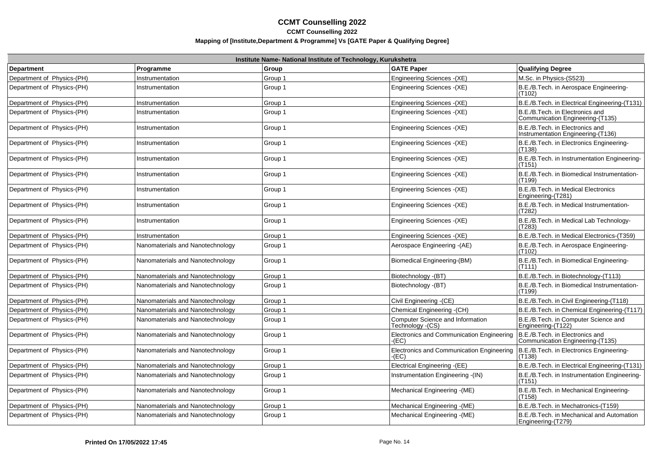| Institute Name- National Institute of Technology, Kurukshetra |                                  |         |                                                      |                                                                       |
|---------------------------------------------------------------|----------------------------------|---------|------------------------------------------------------|-----------------------------------------------------------------------|
| <b>Department</b>                                             | Programme                        | Group   | <b>GATE Paper</b>                                    | Qualifying Degree                                                     |
| Department of Physics-(PH)                                    | Instrumentation                  | Group 1 | Engineering Sciences - (XE)                          | M.Sc. in Physics-(S523)                                               |
| Department of Physics-(PH)                                    | Instrumentation                  | Group 1 | Engineering Sciences - (XE)                          | B.E./B.Tech. in Aerospace Engineering-<br>(T102)                      |
| Department of Physics-(PH)                                    | Instrumentation                  | Group 1 | Engineering Sciences - (XE)                          | B.E./B.Tech. in Electrical Engineering-(T131)                         |
| Department of Physics-(PH)                                    | Instrumentation                  | Group 1 | Engineering Sciences - (XE)                          | B.E./B.Tech. in Electronics and<br>Communication Engineering-(T135)   |
| Department of Physics-(PH)                                    | Instrumentation                  | Group 1 | Engineering Sciences - (XE)                          | B.E./B.Tech. in Electronics and<br>Instrumentation Engineering-(T136) |
| Department of Physics-(PH)                                    | Instrumentation                  | Group 1 | Engineering Sciences - (XE)                          | B.E./B.Tech. in Electronics Engineering-<br>(T138)                    |
| Department of Physics-(PH)                                    | Instrumentation                  | Group 1 | Engineering Sciences - (XE)                          | B.E./B.Tech. in Instrumentation Engineering-<br>(T151)                |
| Department of Physics-(PH)                                    | Instrumentation                  | Group 1 | Engineering Sciences - (XE)                          | B.E./B.Tech. in Biomedical Instrumentation-<br>(T199)                 |
| Department of Physics-(PH)                                    | Instrumentation                  | Group 1 | Engineering Sciences - (XE)                          | B.E./B.Tech. in Medical Electronics<br>Engineering-(T281)             |
| Department of Physics-(PH)                                    | Instrumentation                  | Group 1 | Engineering Sciences - (XE)                          | B.E./B.Tech. in Medical Instrumentation-<br>(T282)                    |
| Department of Physics-(PH)                                    | Instrumentation                  | Group 1 | Engineering Sciences - (XE)                          | B.E./B.Tech. in Medical Lab Technology-<br>(T283)                     |
| Department of Physics-(PH)                                    | Instrumentation                  | Group 1 | Engineering Sciences - (XE)                          | B.E./B.Tech. in Medical Electronics-(T359)                            |
| Department of Physics-(PH)                                    | Nanomaterials and Nanotechnology | Group 1 | Aerospace Engineering - (AE)                         | B.E./B.Tech. in Aerospace Engineering-<br>(T102)                      |
| Department of Physics-(PH)                                    | Nanomaterials and Nanotechnology | Group 1 | Biomedical Engineering-(BM)                          | B.E./B.Tech. in Biomedical Engineering-<br>(T111)                     |
| Department of Physics-(PH)                                    | Nanomaterials and Nanotechnology | Group 1 | Biotechnology - (BT)                                 | B.E./B.Tech. in Biotechnology-(T113)                                  |
| Department of Physics-(PH)                                    | Nanomaterials and Nanotechnology | Group 1 | Biotechnology - (BT)                                 | B.E./B.Tech. in Biomedical Instrumentation-<br>(T199)                 |
| Department of Physics-(PH)                                    | Nanomaterials and Nanotechnology | Group 1 | Civil Engineering - (CE)                             | B.E./B.Tech. in Civil Engineering-(T118)                              |
| Department of Physics-(PH)                                    | Nanomaterials and Nanotechnology | Group 1 | Chemical Engineering - (CH)                          | B.E./B.Tech. in Chemical Engineering-(T117)                           |
| Department of Physics-(PH)                                    | Nanomaterials and Nanotechnology | Group 1 | Computer Science and Information<br>Technology -(CS) | B.E./B.Tech. in Computer Science and<br>Engineering-(T122)            |
| Department of Physics-(PH)                                    | Nanomaterials and Nanotechnology | Group 1 | Electronics and Communication Engineering<br>-(EC)   | B.E./B.Tech. in Electronics and<br>Communication Engineering-(T135)   |
| Department of Physics-(PH)                                    | Nanomaterials and Nanotechnology | Group 1 | Electronics and Communication Engineering<br>(EC)    | B.E./B.Tech. in Electronics Engineering-<br>(T138)                    |
| Department of Physics-(PH)                                    | Nanomaterials and Nanotechnology | Group 1 | Electrical Engineering -(EE)                         | B.E./B.Tech. in Electrical Engineering-(T131)                         |
| Department of Physics-(PH)                                    | Nanomaterials and Nanotechnology | Group 1 | Instrumentation Engineering - (IN)                   | B.E./B.Tech. in Instrumentation Engineering-<br>(T151)                |
| Department of Physics-(PH)                                    | Nanomaterials and Nanotechnology | Group 1 | Mechanical Engineering - (ME)                        | B.E./B.Tech. in Mechanical Engineering-<br>(T158)                     |
| Department of Physics-(PH)                                    | Nanomaterials and Nanotechnology | Group 1 | Mechanical Engineering - (ME)                        | B.E./B.Tech. in Mechatronics-(T159)                                   |
| Department of Physics-(PH)                                    | Nanomaterials and Nanotechnology | Group 1 | Mechanical Engineering - (ME)                        | B.E./B.Tech. in Mechanical and Automation<br>Engineering-(T279)       |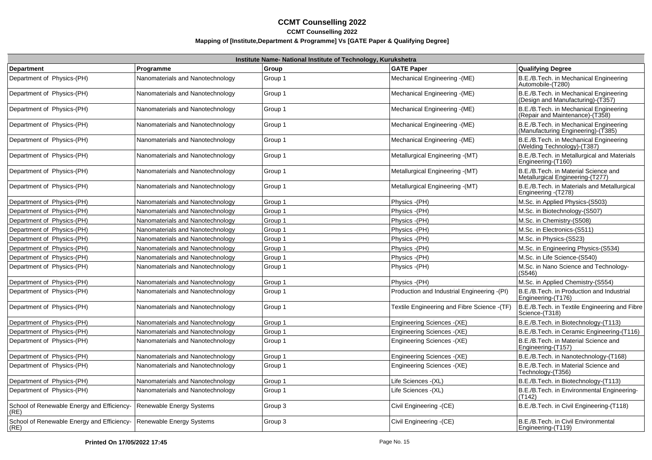| Institute Name- National Institute of Technology, Kurukshetra |                                  |         |                                              |                                                                              |
|---------------------------------------------------------------|----------------------------------|---------|----------------------------------------------|------------------------------------------------------------------------------|
| <b>Department</b>                                             | Programme                        | Group   | <b>GATE Paper</b>                            | <b>Qualifying Degree</b>                                                     |
| Department of Physics-(PH)                                    | Nanomaterials and Nanotechnology | Group 1 | Mechanical Engineering - (ME)                | B.E./B.Tech. in Mechanical Engineering<br>Automobile-(T280)                  |
| Department of Physics-(PH)                                    | Nanomaterials and Nanotechnology | Group 1 | Mechanical Engineering - (ME)                | B.E./B.Tech. in Mechanical Engineering<br>(Design and Manufacturing)-(T357)  |
| Department of Physics-(PH)                                    | Nanomaterials and Nanotechnology | Group 1 | Mechanical Engineering - (ME)                | B.E./B.Tech. in Mechanical Engineering<br>(Repair and Maintenance)-(T358)    |
| Department of Physics-(PH)                                    | Nanomaterials and Nanotechnology | Group 1 | Mechanical Engineering - (ME)                | B.E./B.Tech. in Mechanical Engineering<br>(Manufacturing Engineering)-(T385) |
| Department of Physics-(PH)                                    | Nanomaterials and Nanotechnology | Group 1 | Mechanical Engineering - (ME)                | B.E./B.Tech. in Mechanical Engineering<br>(Welding Technology)-(T387)        |
| Department of Physics-(PH)                                    | Nanomaterials and Nanotechnology | Group 1 | Metallurgical Engineering - (MT)             | B.E./B.Tech. in Metallurgical and Materials<br>Engineering-(T160)            |
| Department of Physics-(PH)                                    | Nanomaterials and Nanotechnology | Group 1 | Metallurgical Engineering - (MT)             | B.E./B.Tech. in Material Science and<br>Metallurgical Engineering-(T277)     |
| Department of Physics-(PH)                                    | Nanomaterials and Nanotechnology | Group 1 | Metallurgical Engineering - (MT)             | B.E./B.Tech. in Materials and Metallurgical<br>Engineering - (T278)          |
| Department of Physics-(PH)                                    | Nanomaterials and Nanotechnology | Group 1 | Physics -(PH)                                | M.Sc. in Applied Physics-(S503)                                              |
| Department of Physics-(PH)                                    | Nanomaterials and Nanotechnology | Group 1 | Physics - (PH)                               | M.Sc. in Biotechnology-(S507)                                                |
| Department of Physics-(PH)                                    | Nanomaterials and Nanotechnology | Group 1 | Physics -(PH)                                | M.Sc. in Chemistry-(S508)                                                    |
| Department of Physics-(PH)                                    | Nanomaterials and Nanotechnology | Group 1 | Physics - (PH)                               | M.Sc. in Electronics-(S511)                                                  |
| Department of Physics-(PH)                                    | Nanomaterials and Nanotechnology | Group 1 | Physics - (PH)                               | M.Sc. in Physics-(S523)                                                      |
| Department of Physics-(PH)                                    | Nanomaterials and Nanotechnology | Group 1 | Physics - (PH)                               | M.Sc. in Engineering Physics-(S534)                                          |
| Department of Physics-(PH)                                    | Nanomaterials and Nanotechnology | Group 1 | Physics - (PH)                               | M.Sc. in Life Science-(S540)                                                 |
| Department of Physics-(PH)                                    | Nanomaterials and Nanotechnology | Group 1 | Physics - (PH)                               | M.Sc. in Nano Science and Technology-<br>(S546)                              |
| Department of Physics-(PH)                                    | Nanomaterials and Nanotechnology | Group 1 | Physics -(PH)                                | M.Sc. in Applied Chemistry-(S554)                                            |
| Department of Physics-(PH)                                    | Nanomaterials and Nanotechnology | Group 1 | Production and Industrial Engineering -(PI)  | B.E./B.Tech. in Production and Industrial<br>Engineering-(T176)              |
| Department of Physics-(PH)                                    | Nanomaterials and Nanotechnology | Group 1 | Textile Engineering and Fibre Science - (TF) | B.E./B.Tech. in Textile Engineering and Fibre<br>Science-(T318)              |
| Department of Physics-(PH)                                    | Nanomaterials and Nanotechnology | Group 1 | Engineering Sciences - (XE)                  | B.E./B.Tech. in Biotechnology-(T113)                                         |
| Department of Physics-(PH)                                    | Nanomaterials and Nanotechnology | Group 1 | Engineering Sciences - (XE)                  | B.E./B.Tech. in Ceramic Engineering-(T116)                                   |
| Department of Physics-(PH)                                    | Nanomaterials and Nanotechnology | Group 1 | Engineering Sciences - (XE)                  | B.E./B.Tech. in Material Science and<br>Engineering-(T157)                   |
| Department of Physics-(PH)                                    | Nanomaterials and Nanotechnology | Group 1 | Engineering Sciences - (XE)                  | B.E./B.Tech. in Nanotechnology-(T168)                                        |
| Department of Physics-(PH)                                    | Nanomaterials and Nanotechnology | Group 1 | Engineering Sciences - (XE)                  | B.E./B.Tech. in Material Science and<br>Technology-(T356)                    |
| Department of Physics-(PH)                                    | Nanomaterials and Nanotechnology | Group 1 | Life Sciences - (XL)                         | B.E./B.Tech. in Biotechnology-(T113)                                         |
| Department of Physics-(PH)                                    | Nanomaterials and Nanotechnology | Group 1 | Life Sciences -(XL)                          | B.E./B.Tech. in Environmental Engineering-<br>(T142)                         |
| School of Renewable Energy and Efficiency-<br>(RE)            | Renewable Energy Systems         | Group 3 | Civil Engineering - (CE)                     | B.E./B.Tech. in Civil Engineering-(T118)                                     |
| School of Renewable Energy and Efficiency-<br>(RE)            | Renewable Energy Systems         | Group 3 | Civil Engineering - (CE)                     | B.E./B.Tech. in Civil Environmental<br>Engineering-(T119)                    |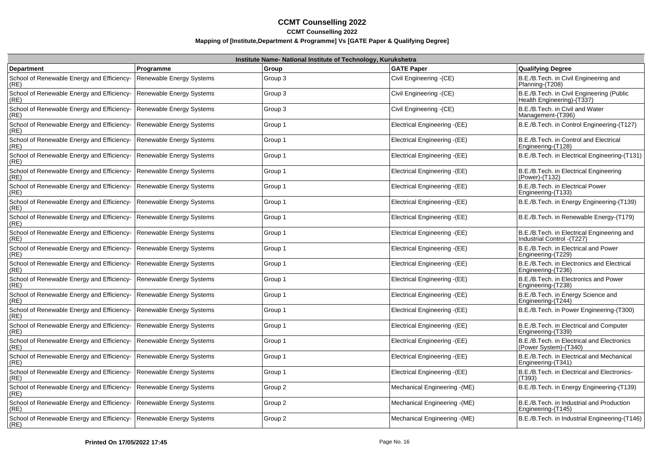| Institute Name- National Institute of Technology, Kurukshetra |                                 |         |                               |                                                                           |
|---------------------------------------------------------------|---------------------------------|---------|-------------------------------|---------------------------------------------------------------------------|
| <b>Department</b>                                             | Programme                       | Group   | <b>GATE Paper</b>             | <b>Qualifying Degree</b>                                                  |
| School of Renewable Energy and Efficiency-<br>(RE)            | <b>Renewable Energy Systems</b> | Group 3 | Civil Engineering - (CE)      | B.E./B.Tech. in Civil Engineering and<br>Planning-(T208)                  |
| School of Renewable Energy and Efficiency-<br>(RE)            | <b>Renewable Energy Systems</b> | Group 3 | Civil Engineering - (CE)      | B.E./B.Tech. in Civil Engineering (Public<br>Health Engineering)-(T337)   |
| School of Renewable Energy and Efficiency-<br>(RE)            | <b>Renewable Energy Systems</b> | Group 3 | Civil Engineering - (CE)      | B.E./B.Tech. in Civil and Water<br>Management-(T396)                      |
| School of Renewable Energy and Efficiency-<br>(RE)            | <b>Renewable Energy Systems</b> | Group 1 | Electrical Engineering - (EE) | B.E./B.Tech. in Control Engineering-(T127)                                |
| School of Renewable Energy and Efficiency-<br>(RE)            | <b>Renewable Energy Systems</b> | Group 1 | Electrical Engineering - (EE) | B.E./B.Tech. in Control and Electrical<br>Engineering-(T128)              |
| School of Renewable Energy and Efficiency-<br>(RE)            | Renewable Energy Systems        | Group 1 | Electrical Engineering - (EE) | B.E./B.Tech. in Electrical Engineering-(T131)                             |
| School of Renewable Energy and Efficiency-<br>(RE)            | Renewable Energy Systems        | Group 1 | Electrical Engineering -(EE)  | B.E./B.Tech. in Electrical Engineering<br>(Power)-(T132)                  |
| School of Renewable Energy and Efficiency-<br>(RE)            | Renewable Energy Systems        | Group 1 | Electrical Engineering -(EE)  | B.E./B.Tech. in Electrical Power<br>Engineering-(T133)                    |
| School of Renewable Energy and Efficiency-<br>(RE)            | Renewable Energy Systems        | Group 1 | Electrical Engineering -(EE)  | B.E./B.Tech. in Energy Engineering-(T139)                                 |
| School of Renewable Energy and Efficiency-<br>(RE)            | Renewable Energy Systems        | Group 1 | Electrical Engineering -(EE)  | B.E./B.Tech. in Renewable Energy-(T179)                                   |
| School of Renewable Energy and Efficiency-<br>(RE)            | Renewable Energy Systems        | Group 1 | Electrical Engineering -(EE)  | B.E./B.Tech. in Electrical Engineering and<br>Industrial Control - (T227) |
| School of Renewable Energy and Efficiency-<br>(RE)            | <b>Renewable Energy Systems</b> | Group 1 | Electrical Engineering - (EE) | B.E./B.Tech. in Electrical and Power<br>Engineering-(T229)                |
| School of Renewable Energy and Efficiency-<br>(RE)            | <b>Renewable Energy Systems</b> | Group 1 | Electrical Engineering -(EE)  | B.E./B.Tech. in Electronics and Electrical<br>Engineering-(T236)          |
| School of Renewable Energy and Efficiency-<br>(RE)            | <b>Renewable Energy Systems</b> | Group 1 | Electrical Engineering - (EE) | B.E./B.Tech. in Electronics and Power<br>Engineering-(T238)               |
| School of Renewable Energy and Efficiency-<br>(RE)            | <b>Renewable Energy Systems</b> | Group 1 | Electrical Engineering - (EE) | B.E./B.Tech. in Energy Science and<br>Engineering-(T244)                  |
| School of Renewable Energy and Efficiency-<br>(RE)            | <b>Renewable Energy Systems</b> | Group 1 | Electrical Engineering - (EE) | B.E./B.Tech. in Power Engineering-(T300)                                  |
| School of Renewable Energy and Efficiency-<br>(RE)            | <b>Renewable Energy Systems</b> | Group 1 | Electrical Engineering -(EE)  | B.E./B.Tech. in Electrical and Computer<br>Engineering-(T339)             |
| School of Renewable Energy and Efficiency-<br>(RE)            | Renewable Energy Systems        | Group 1 | Electrical Engineering - (EE) | B.E./B.Tech. in Electrical and Electronics<br>(Power System)-(T340)       |
| School of Renewable Energy and Efficiency-<br>(RE)            | Renewable Energy Systems        | Group 1 | Electrical Engineering -(EE)  | B.E./B.Tech. in Electrical and Mechanical<br>Engineering-(T341)           |
| School of Renewable Energy and Efficiency-<br>(RE)            | Renewable Energy Systems        | Group 1 | Electrical Engineering -(EE)  | B.E./B.Tech. in Electrical and Electronics-<br>(T393)                     |
| School of Renewable Energy and Efficiency-<br>(RE)            | Renewable Energy Systems        | Group 2 | Mechanical Engineering - (ME) | B.E./B.Tech. in Energy Engineering-(T139)                                 |
| School of Renewable Energy and Efficiency-<br>(RE)            | Renewable Energy Systems        | Group 2 | Mechanical Engineering - (ME) | B.E./B.Tech. in Industrial and Production<br>Engineering-(T145)           |
| School of Renewable Energy and Efficiency-<br>(RE)            | Renewable Energy Systems        | Group 2 | Mechanical Engineering - (ME) | B.E./B.Tech. in Industrial Engineering-(T146)                             |